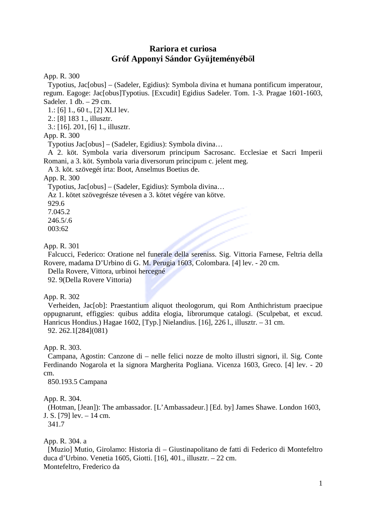# **Rariora et curiosa Gróf Apponyi Sándor Gy**ű**jteményéb**ő**l**

App. R. 300

Typotius, Jac[obus] – (Sadeler, Egidius): Symbola divina et humana pontificum imperatour, regum. Eagoge: Jac[obus]Typotius. [Excudit] Egidius Sadeler. Tom. 1-3. Pragae 1601-1603, Sadeler.  $1$  db.  $-29$  cm.

1.: [6] 1., 60 t., [2] XLI lev.

2.: [8] 183 1., illusztr.

3.: [16]. 201, [6] 1., illusztr.

# App. R. 300

Typotius Jac[obus] – (Sadeler, Egidius): Symbola divina…

A 2. köt. Symbola varia diversorum principum Sacrosanc. Ecclesiae et Sacri Imperii Romani, a 3. köt. Symbola varia diversorum principum c. jelent meg.

A 3. köt. szövegét írta: Boot, Anselmus Boetius de.

App. R. 300

Typotius, Jac[obus] – (Sadeler, Egidius): Symbola divina…

Az 1. kötet szövegrésze tévesen a 3. kötet végére van kötve.

929.6

7.045.2

246.5/.6

003:62

# App. R. 301

Falcucci, Federico: Oratione nel funerale della sereniss. Sig. Vittoria Farnese, Feltria della Rovere, madama D'Urbino di G. M. Perugia 1603, Colombara. [4] lev. - 20 cm.

Della Rovere, Vittora, urbinoi hercegné

92. 9(Della Rovere Vittoria)

App. R. 302

Verheiden, Jac[ob]: Praestantium aliquot theologorum, qui Rom Anthichristum praecipue oppugnarunt, effiggies: quibus addita elogia, librorumque catalogi. (Sculpebat, et excud. Hanricus Hondius.) Hagae 1602, [Typ.] Nielandius. [16], 226 l., illusztr. – 31 cm. 92. 262.1[284](081)

App. R. 303.

Campana, Agostin: Canzone di – nelle felici nozze de molto illustri signori, il. Sig. Conte Ferdinando Nogarola et la signora Margherita Pogliana. Vicenza 1603, Greco. [4] lev. - 20 cm.

850.193.5 Campana

App. R. 304.

(Hotman, [Jean]): The ambassador. [L'Ambassadeur.] [Ed. by] James Shawe. London 1603, J. S. [79] lev. – 14 cm.

341.7

App. R. 304. a

[Muzio] Mutio, Girolamo: Historia di – Giustinapolitano de fatti di Federico di Montefeltro duca d'Urbino. Venetia 1605, Giotti. [16], 401., illusztr. – 22 cm. Montefeltro, Frederico da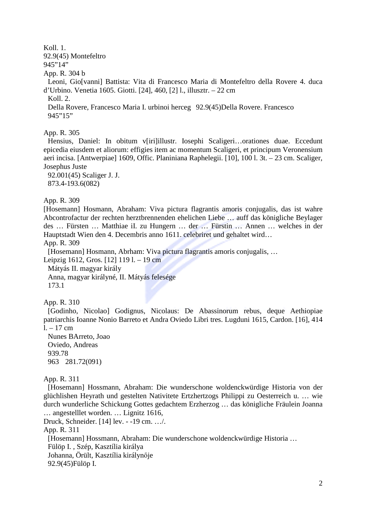# Koll. 1.

92.9(45) Montefeltro

945"14"

App. R. 304 b

Leoni, Gio[vanni] Battista: Vita di Francesco Maria di Montefeltro della Rovere 4. duca d'Urbino. Venetia 1605. Giotti. [24], 460, [2] l., illusztr. – 22 cm

Koll. 2.

Della Rovere, Francesco Maria I. urbinoi herceg 92.9(45)Della Rovere. Francesco 945"15"

# App. R. 305

Hensius, Daniel: In obitum v[iri]illustr. Iosephi Scaligeri…orationes duae. Eccedunt epicedia eiusdem et aliorum: effigies item ac momentum Scaligeri, et principum Veronensium aeri incisa. [Antwerpiae] 1609, Offic. Planiniana Raphelegii. [10], 100 l. 3t. – 23 cm. Scaliger, Josephus Juste

92.001(45) Scaliger J. J. 873.4-193.6(082)

# App. R. 309

[Hosemann] Hosmann, Abraham: Viva pictura flagrantis amoris conjugalis, das ist wahre Abcontrofactur der rechten herztbrennenden ehelichen Liebe … auff das königliche Beylager des … Fürsten … Matthiae iI. zu Hungern … der … Fürstin … Annen … welches in der Hauptstadt Wien den 4. Decembris anno 1611. celebriret und gehaltet wird…

App. R. 309

[Hosemann] Hosmann, Abrham: Viva pictura flagrantis amoris conjugalis, …

Leipzig 1612, Gros. [12] 119 l. – 19 cm

Mátyás II. magyar király

Anna, magyar királyné, II. Mátyás felesége 173.1

App. R. 310

[Godinho, Nicolao] Godignus, Nicolaus: De Abassinorum rebus, deque Aethiopiae patriarchis Ioanne Nonio Barreto et Andra Oviedo Libri tres. Lugduni 1615, Cardon. [16], 414  $l. - 17$  cm

Nunes BArreto, Joao Oviedo, Andreas 939.78 963 281.72(091)

App. R. 311

[Hosemann] Hossmann, Abraham: Die wunderschone woldenckwürdige Historia von der glüchlishen Heyrath und gestelten Nativitete Ertzhertzogs Philippi zu Oesterreich u. … wie durch wunderliche Schickung Gottes gedachtem Erzherzog … das königliche Fräulein Joanna … angestelllet worden. … Lignitz 1616,

Druck, Schneider. [14] lev. - -19 cm. …/.

App. R. 311

[Hosemann] Hossmann, Abraham: Die wunderschone woldenckwürdige Historia …

Fülöp I. , Szép, Kasztília királya

Johanna, Örült, Kasztília királynője

92.9(45)Fülöp I.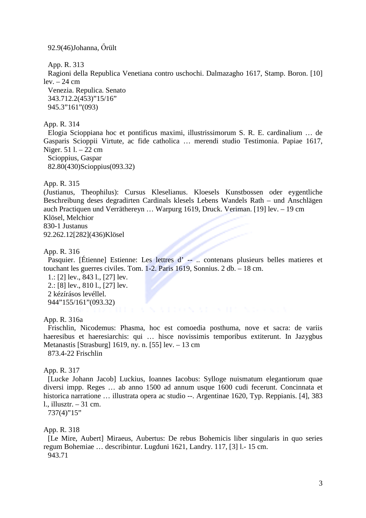92.9(46)Johanna, Őrült

App. R. 313

Ragioni della Republica Venetiana contro uschochi. Dalmazagho 1617, Stamp. Boron. [10]  $lev. - 24$  cm

Venezia. Repulica. Senato 343.712.2(453)"15/16" 945.3"161"(093)

#### App. R. 314

Elogia Scioppiana hoc et pontificus maximi, illustrissimorum S. R. E. cardinalium … de Gasparis Scioppii Virtute, ac fide catholica … merendi studio Testimonia. Papiae 1617, Niger. 51 l. – 22 cm

Scioppius, Gaspar 82.80(430)Scioppius(093.32)

App. R. 315

(Justianus, Theophilus): Cursus Kleselianus. Kloesels Kunstbossen oder eygentliche Beschreibung deses degradirten Cardinals klesels Lebens Wandels Rath – und Anschlägen auch Practiquen und Verräthereyn … Warpurg 1619, Druck. Veriman. [19] lev. – 19 cm Klösel, Melchior 830-1 Justanus

92.262.12[282](436)Klösel

App. R. 316

Pasquier. [Étienne] Estienne: Les lettres d' -- .. contenans plusieurs belles matieres et touchant les guerres civiles. Tom. 1-2. Paris 1619, Sonnius. 2 db. – 18 cm.

1.: [2] lev., 843 l., [27] lev. 2.: [8] lev., 810 l., [27] lev. 2 kézírásos levéllel. 944"155/161"(093.32)

## App. R. 316a

Frischlin, Nicodemus: Phasma, hoc est comoedia posthuma, nove et sacra: de variis haeresibus et haeresiarchis: qui ... hisce novissimis temporibus extiterunt. In Jazygbus Metanastis [Strasburg] 1619, ny. n. [55] lev. – 13 cm 873.4-22 Frischlin

#### App. R. 317

[Lucke Johann Jacob] Luckius, Ioannes Iacobus: Sylloge nuismatum elegantiorum quae diversi impp. Reges … ab anno 1500 ad annum usque 1600 cudi fecerunt. Concinnata et historica narratione … illustrata opera ac studio --. Argentinae 1620, Typ. Reppianis. [4], 383 l., illusztr. – 31 cm.

737(4)"15"

#### App. R. 318

[Le Mire, Aubert] Miraeus, Aubertus: De rebus Bohemicis liber singularis in quo series regum Bohemiae … describintur. Lugduni 1621, Landry. 117, [3] l.- 15 cm. 943.71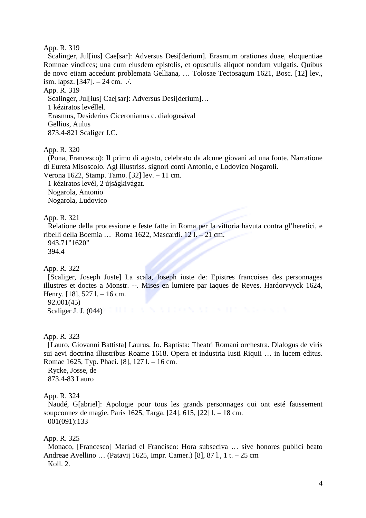Scalinger, Jul[ius] Cae[sar]: Adversus Desi[derium]. Erasmum orationes duae, eloquentiae Romnae vindices; una cum eiusdem epistolis, et opusculis aliquot nondum vulgatis. Quibus de novo etiam accedunt problemata Gelliana, … Tolosae Tectosagum 1621, Bosc. [12] lev., ism. lapsz.  $[347] - 24$  cm.  $\sqrt{ }$ .

App. R. 319

Scalinger, Jul[ius] Cae[sar]: Adversus Desi[derium]... 1 kéziratos levéllel. Erasmus, Desiderius Ciceronianus c. dialogusával Gellius, Aulus 873.4-821 Scaliger J.C.

App. R. 320

(Pona, Francesco): Il primo di agosto, celebrato da alcune giovani ad una fonte. Narratione di Eureta Misoscolo. Agl illustriss. signori conti Antonio, e Lodovico Nogaroli.

Verona 1622, Stamp. Tamo. [32] lev. – 11 cm.

1 kéziratos levél, 2 újságkivágat. Nogarola, Antonio Nogarola, Ludovico

App. R. 321

Relatione della processione e feste fatte in Roma per la vittoria havuta contra gl'heretici, e ribelli della Boemia … Roma 1622, Mascardi. 12 l. – 21 cm. 943.71"1620" 394.4

App. R. 322

[Scaliger, Joseph Juste] La scala, Ioseph iuste de: Epistres francoises des personnages illustres et doctes a Monstr. --. Mises en lumiere par Iaques de Reves. Hardorvvyck 1624, Henry. [18], 527 l. – 16 cm. 92.001(45)

Scaliger J. J. (044)

App. R. 323

[Lauro, Giovanni Battista] Laurus, Jo. Baptista: Theatri Romani orchestra. Dialogus de viris sui aevi doctrina illustribus Roame 1618. Opera et industria Iusti Riquii … in lucem editus. Romae 1625, Typ. Phaei. [8], 127 l. – 16 cm.

Rycke, Josse, de 873.4-83 Lauro

App. R. 324

Naudé, G[abriel]: Apologie pour tous les grands personnages qui ont esté faussement soupconnez de magie. Paris 1625, Targa. [24], 615, [22] l. – 18 cm. 001(091):133

App. R. 325

Monaco, [Francesco] Mariad el Francisco: Hora subseciva … sive honores publici beato Andreae Avellino … (Patavij 1625, Impr. Camer.) [8], 87 l., 1 t. – 25 cm Koll. 2.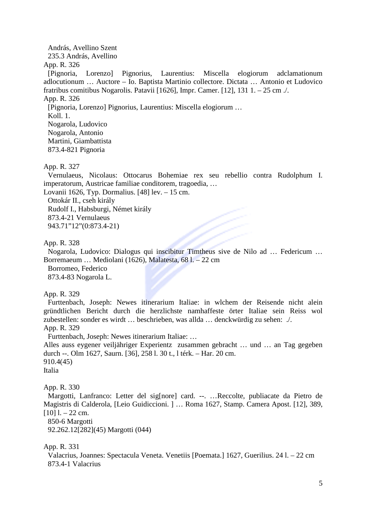András, Avellino Szent

235.3 András, Avellino

App. R. 326

[Pignoria, Lorenzo] Pignorius, Laurentius: Miscella elogiorum adclamationum adlocutionum … Auctore – Io. Baptista Martinio collectore. Dictata … Antonio et Ludovico fratribus comitibus Nogarolis. Patavii [1626], Impr. Camer. [12], 131 1. – 25 cm ./. App. R. 326 [Pignoria, Lorenzo] Pignorius, Laurentius: Miscella elogiorum … Koll. 1. Nogarola, Ludovico Nogarola, Antonio Martini, Giambattista 873.4-821 Pignoria

App. R. 327

Vernulaeus, Nicolaus: Ottocarus Bohemiae rex seu rebellio contra Rudolphum I. imperatorum, Austricae familiae conditorem, tragoedia, …

Lovanii 1626, Typ. Dormalius. [48] lev. – 15 cm.

Ottokár II., cseh király Rudolf I., Habsburgi, Német király 873.4-21 Vernulaeus 943.71"12"(0:873.4-21)

App. R. 328

Nogarola, Ludovico: Dialogus qui inscibitur Timtheus sive de Nilo ad … Federicum … Borremaeum … Mediolani (1626), Malatesta, 68 l. – 22 cm

Borromeo, Federico 873.4-83 Nogarola L.

App. R. 329

Furttenbach, Joseph: Newes itinerarium Italiae: in wlchem der Reisende nicht alein gründtlichen Bericht durch die herzlichste namhaffeste örter Italiae sein Reiss wol zubestellen: sonder es wirdt … beschrieben, was allda … denckwürdig zu sehen: ./.

App. R. 329

Furttenbach, Joseph: Newes itinerarium Italiae: …

Alles auss eygener veiljähriger Experientz zusammen gebracht … und … an Tag gegeben durch --. Olm 1627, Saurn. [36], 258 l. 30 t., l térk. – Har. 20 cm. 910.4(45)

Italia

App. R. 330

Margotti, Lanfranco: Letter del sig[nore] card. --. …Reccolte, publiacate da Pietro de Magistris di Calderola, [Leio Guidiccioni. ] … Roma 1627, Stamp. Camera Apost. [12], 389,  $[10]$  l. – 22 cm.

850-6 Margotti 92.262.12[282](45) Margotti (044)

App. R. 331

Valacrius, Joannes: Spectacula Veneta. Venetiis [Poemata.] 1627, Guerilius. 24 l. – 22 cm 873.4-1 Valacrius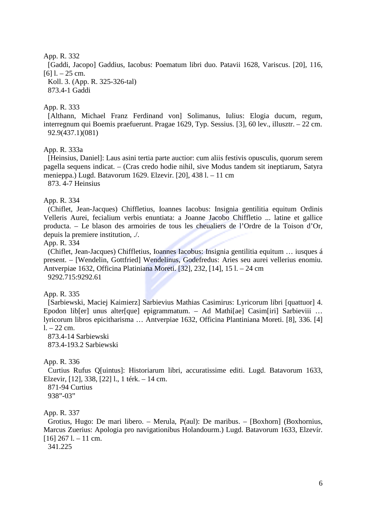[Gaddi, Jacopo] Gaddius, Iacobus: Poematum libri duo. Patavii 1628, Variscus. [20], 116,  $[6]$  l. – 25 cm.

Koll. 3. (App. R. 325-326-tal) 873.4-1 Gaddi

# App. R. 333

[Althann, Michael Franz Ferdinand von] Solimanus, Iulius: Elogia ducum, regum, interregnum qui Boemis praefuerunt. Pragae 1629, Typ. Sessius. [3], 60 lev., illusztr. – 22 cm. 92.9(437.1)(081)

App. R. 333a

[Heinsius, Daniel]: Laus asini tertia parte auctior: cum aliis festivis opusculis, quorum serem pagella sequens indicat. – (Cras credo hodie nihil, sive Modus tandem sit ineptiarum, Satyra menieppa.) Lugd. Batavorum 1629. Elzevir. [20], 438 l. – 11 cm 873. 4-7 Heinsius

# App. R. 334

(Chiflet, Jean-Jacques) Chiffletius, Ioannes Iacobus: Insignia gentilitia equitum Ordinis Velleris Aurei, fecialium verbis enuntiata: a Joanne Jacobo Chiffletio ... latine et gallice producta. – Le blason des armoiries de tous les cheualiers de l'Ordre de la Toison d'Or, depuis la premiere institution, ./.

App. R. 334

(Chiflet, Jean-Jacques) Chiffletius, Ioannes Iacobus: Insignia gentilitia equitum … iusques á present. – [Wendelin, Gottfried] Wendelinus, Godefredus: Aries seu aurei vellerius enomiu. Antverpiae 1632, Officina Platiniana Moreti. [32], 232, [14], 15 l. – 24 cm 9292.715:9292.61

App. R. 335

[Sarbiewski, Maciej Kaimierz] Sarbievius Mathias Casimirus: Lyricorum libri [quattuor] 4. Epodon lib[er] unus alter[que] epigrammatum. – Ad Mathi[ae] Casim[iri] Sarbieviii … lyricorum libros epicitharisma … Antverpiae 1632, Officina Plantiniana Moreti. [8], 336. [4]  $1 - 22$  cm.

873.4-14 Sarbiewski 873.4-193.2 Sarbiewski

# App. R. 336

Curtius Rufus Q[uintus]: Historiarum libri, accuratissime editi. Lugd. Batavorum 1633, Elzevir, [12], 338, [22] l., 1 térk. – 14 cm.

871-94 Curtius 938"-03"

App. R. 337

Grotius, Hugo: De mari libero. – Merula, P(aul): De maribus. – [Boxhorn] (Boxhornius, Marcus Zuerius: Apologia pro navigationibus Holandourm.) Lugd. Batavorum 1633, Elzevír.  $[16]$  267 l. – 11 cm.

341.225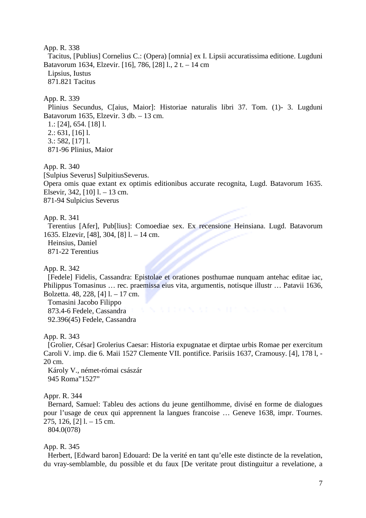App. R. 338 Tacitus, [Publius] Cornelius C.: (Opera) [omnia] ex I. Lipsii accuratissima editione. Lugduni Batavorum 1634, Elzevir. [16], 786, [28] l., 2 t. – 14 cm Lipsius, Iustus 871.821 Tacitus

## App. R. 339

Plinius Secundus, C[aius, Maior]: Historiae naturalis libri 37. Tom. (1)- 3. Lugduni Batavorum 1635, Elzevir. 3 db. – 13 cm.

1.: [24], 654. [18] l.

2.: 631, [16] l.

3.: 582, [17] l.

871-96 Plinius, Maior

App. R. 340

[Sulpius Severus] SulpitiusSeverus.

Opera omis quae extant ex optimis editionibus accurate recognita, Lugd. Batavorum 1635. Elsevir, 342, [10] l. – 13 cm. 871-94 Sulpicius Severus

#### App. R. 341

Terentius [Afer], Pub[lius]: Comoediae sex. Ex recensione Heinsiana. Lugd. Batavorum 1635. Elzevir, [48], 304, [8] l. – 14 cm. Heinsius, Daniel 871-22 Terentius

App. R. 342

[Fedele] Fidelis, Cassandra: Epistolae et orationes posthumae nunquam antehac editae iac, Philippus Tomasinus … rec. praemissa eius vita, argumentis, notisque illustr … Patavii 1636, Bolzetta. 48, 228, [4] l. – 17 cm.

Tomasini Jacobo Filippo 873.4-6 Fedele, Cassandra 92.396(45) Fedele, Cassandra

App. R. 343

[Grolier, César] Grolerius Caesar: Historia expugnatae et dirptae urbis Romae per exercitum Caroli V. imp. die 6. Maii 1527 Clemente VII. pontifice. Parisiis 1637, Cramousy. [4], 178 l, - 20 cm.

Károly V., német-római császár 945 Roma"1527"

#### Appr. R. 344

Bernard, Samuel: Tableu des actions du jeune gentilhomme, divisé en forme de dialogues pour l'usage de ceux qui apprennent la langues francoise … Geneve 1638, impr. Tournes.  $275, 126, 1211, -15$  cm.

804.0(078)

### App. R. 345

Herbert, [Edward baron] Edouard: De la verité en tant qu'elle este distincte de la revelation, du vray-semblamble, du possible et du faux [De veritate prout distinguitur a revelatione, a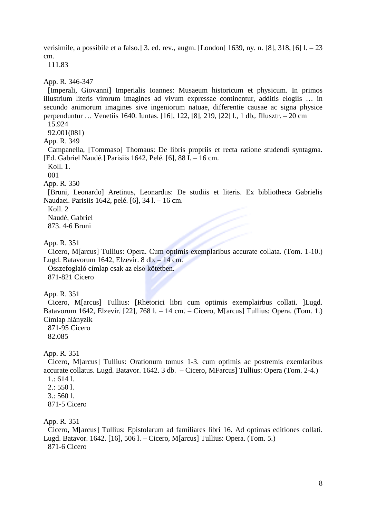verisimile, a possibile et a falso.] 3. ed. rev., augm. [London] 1639, ny. n. [8], 318, [6] l. – 23 cm.

111.83

App. R. 346-347

[Imperali, Giovanni] Imperialis Ioannes: Musaeum historicum et physicum. In primos illustrium literis virorum imagines ad vivum expressae continentur, additis elogiis … in secundo animorum imagines sive ingeniorum natuae, differentie causae ac signa physice perpenduntur … Venetiis 1640. Iuntas. [16], 122, [8], 219, [22] l., 1 db,. Illusztr. – 20 cm

15.924

92.001(081)

App. R. 349

Campanella, [Tommaso] Thomaus: De libris propriis et recta ratione studendi syntagma. [Ed. Gabriel Naudé.] Parisiis 1642, Pelé. [6], 88 I. – 16 cm.

Koll. 1.

001

App. R. 350

[Bruni, Leonardo] Aretinus, Leonardus: De studiis et literis. Ex bibliotheca Gabrielis Naudaei. Parisiis 1642, pelé. [6], 34 l. – 16 cm.

Koll. 2

Naudé, Gabriel

873. 4-6 Bruni

App. R. 351

Cicero, M[arcus] Tullius: Opera. Cum optimis exemplaribus accurate collata. (Tom. 1-10.) Lugd. Batavorum 1642, Elzevir. 8 db. – 14 cm.

Összefoglaló címlap csak az első kötetben. 871-821 Cicero

App. R. 351

Cicero, M[arcus] Tullius: [Rhetorici libri cum optimis exemplairbus collati. ]Lugd. Batavorum 1642, Elzevir. [22], 768 l. – 14 cm. – Cicero, M[arcus] Tullius: Opera. (Tom. 1.) Címlap hiányzik

871-95 Cicero 82.085

App. R. 351

Cicero, M[arcus] Tullius: Orationum tomus 1-3. cum optimis ac postremis exemlaribus accurate collatus. Lugd. Batavor. 1642. 3 db. – Cicero, MFarcus] Tullius: Opera (Tom. 2-4.)

1.: 614 l.

 $2.$ : 550 l.

 $3.5601$ 

871-5 Cicero

App. R. 351

Cicero, M[arcus] Tullius: Epistolarum ad familiares libri 16. Ad optimas editiones collati. Lugd. Batavor. 1642. [16], 506 l. – Cicero, M[arcus] Tullius: Opera. (Tom. 5.) 871-6 Cicero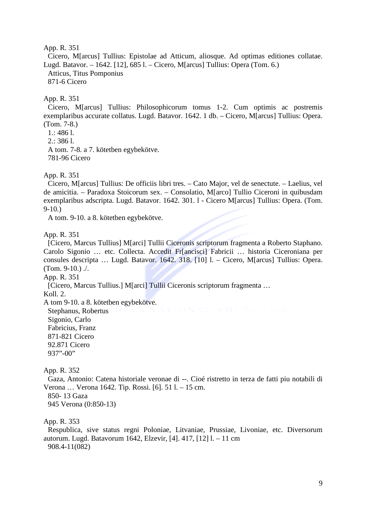Cicero, M[arcus] Tullius: Epistolae ad Atticum, aliosque. Ad optimas editiones collatae. Lugd. Batavor. – 1642. [12], 685 l. – Cicero, M[arcus] Tullius: Opera (Tom. 6.) Atticus, Titus Pomponius 871-6 Cicero

App. R. 351

Cicero, M[arcus] Tullius: Philosophicorum tomus 1-2. Cum optimis ac postremis exemplaribus accurate collatus. Lugd. Batavor. 1642. 1 db. – Cicero, M[arcus] Tullius: Opera. (Tom. 7-8.)

- 1.: 486 l.
- 2.: 386 l.

A tom. 7-8. a 7. kötetben egybekötve.

781-96 Cicero

App. R. 351

Cicero, M[arcus] Tullius: De officiis libri tres. – Cato Major, vel de senectute. – Laelius, vel de amicitia. – Paradoxa Stoicorum sex. – Consolatio, M[arco] Tullio Ciceroni in quibusdam exemplaribus adscripta. Lugd. Batavor. 1642. 301. l - Cicero M[arcus] Tullius: Opera. (Tom. 9-10.)

A tom. 9-10. a 8. kötetben egybekötve.

App. R. 351

[Cicero, Marcus Tullius] M[arci] Tullii Ciceronis scriptorum fragmenta a Roberto Staphano. Carolo Sigonio … etc. Collecta. Accedit Fr[ancisci] Fabricii … historia Ciceroniana per consules descripta … Lugd. Batavor. 1642. 318. [10] l. – Cicero, M[arcus] Tullius: Opera. (Tom. 9-10.)  $\lambda$ .

App. R. 351

[Cicero, Marcus Tullius.] M[arci] Tullii Ciceronis scriptorum fragmenta …

Koll. 2.

A tom 9-10. a 8. kötetben egybekötve.

Stephanus, Robertus Sigonio, Carlo Fabricius, Franz 871-821 Cicero 92.871 Cicero 937"-00"

App. R. 352

Gaza, Antonio: Catena historiale veronae di --. Cioé ristretto in terza de fatti piu notabili di Verona … Verona 1642. Tip. Rossi. [6]. 51 l. – 15 cm. 850- 13 Gaza

945 Verona (0:850-13)

App. R. 353

Respublica, sive status regni Poloniae, Litvaniae, Prussiae, Livoniae, etc. Diversorum autorum. Lugd. Batavorum 1642, Elzevir, [4]. 417, [12] l. – 11 cm 908.4-11(082)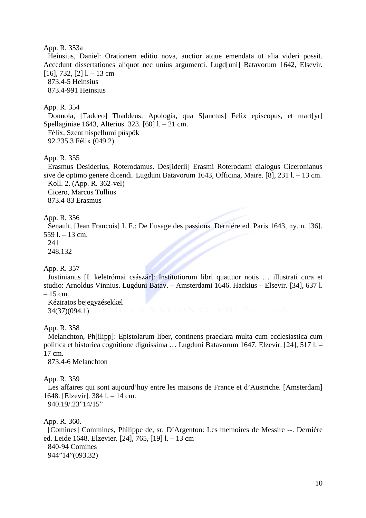#### App. R. 353a

Heinsius, Daniel: Orationem editio nova, auctior atque emendata ut alia videri possit. Accedunt dissertationes aliquot nec unius argumenti. Lugd[uni] Batavorum 1642, Elsevir.  $[16]$ , 732,  $[2]$  l. – 13 cm

873.4-5 Heinsius

873.4-991 Heinsius

### App. R. 354

Donnola, [Taddeo] Thaddeus: Apologia, qua S[anctus] Felix episcopus, et mart[yr] Spellaginiae 1643, Alterius. 323. [60] l. – 21 cm.

Félix, Szent hispellumi püspök 92.235.3 Félix (049.2)

#### App. R. 355

Erasmus Desiderius, Roterodamus. Des[iderii] Erasmi Roterodami dialogus Ciceronianus sive de optimo genere dicendi. Lugduni Batavorum 1643, Officina, Maire. [8], 231 l. – 13 cm. Koll. 2. (App. R. 362-vel) Cicero, Marcus Tullius

873.4-83 Erasmus

#### App. R. 356

Senault, [Jean Francois] I. F.: De l'usage des passions. Derniére ed. Paris 1643, ny. n. [36]. 559 l. – 13 cm.

241

248.132

App. R. 357

Justinianus [I. keletrómai császár]: Institotiorum libri quattuor notis … illustrati cura et studio: Arnoldus Vinnius. Lugduni Batav. – Amsterdami 1646. Hackius – Elsevir. [34], 637 l.  $-15$  cm.

Kéziratos bejegyzésekkel 34(37)(094.1)

App. R. 358

Melanchton, Ph[ilipp]: Epistolarum liber, continens praeclara multa cum ecclesiastica cum politica et historica cognitione dignissima … Lugduni Batavorum 1647, Elzevir. [24], 517 l. – 17 cm.

873.4-6 Melanchton

App. R. 359

Les affaires qui sont aujourd'huy entre les maisons de France et d'Austriche. [Amsterdam] 1648. [Elzevir]. 384 l. – 14 cm. 940.19/.23"14/15"

App. R. 360.

[Comines] Commines, Philippe de, sr. D'Argenton: Les memoires de Messire --. Derniére ed. Leide 1648. Elzevier. [24], 765, [19] l. – 13 cm 840-94 Comines 944"14"(093.32)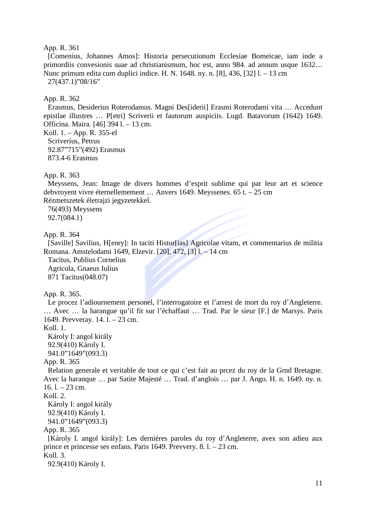[Comenius, Johannes Amos]: Historia persecutionum Ecclesiae Bomeicae, iam inde a primordiis convesionis suae ad christianismum, hoc est, anno 984. ad annum usque 1632… Nunc primum edita cum duplici indice. H. N. 1648. ny. n. [8], 436, [32] l. – 13 cm 27(437.1)"08/16"

### App. R. 362

Erasmus, Desiderius Roterodamus. Magni Des[iderii] Erasmi Roterodami vita … Accedunt epistlae illustres … P[etri] Scriverii et fautorum auspiciis. Lugd. Batavorum (1642) 1649. Officina. Maira. [46] 394 l. – 13 cm.

Koll. 1. – App. R. 355-el Scriverius, Petrus 92.87"715"(492) Erasmus 873.4-6 Erasmus

### App. R. 363

Meyssens, Jean: Image de divers hommes d'esprit sublime qui par leur art et science debvroyent vivre éternellemement … Anvers 1649. Meyssenes. 65 t. – 25 cm Rézmetszetek életrajzi jegyzetekkel.

76(493) Meyssens 92.7(084.1)

### App. R. 364

[Saville] Savilius, H[enry]: In taciti Histor[ias] Agricolae vitam, et commentarius de militia Romana. Amstelodami 1649, Elzevir. [20], 472, [3] l. – 14 cm

Tacitus, Publius Cornelius Agricola, Gnaeus Iulius 871 Tacitus(048.07)

App. R. 365.

Le procez l'adiournement personel, l'interrogatoire et l'arrest de mort du roy d'Angleterre. … Avec … la harangue qu'il fit sur l'échaffaut … Trad. Par le sieur [F.] de Marsys. Paris 1649. Prevveray. 14. l. – 23 cm.

Koll. 1.

Károly I: angol király 92.9(410) Károly I. 941.0"1649"(093.3)

## App. R. 365

Relation generale et veritable de tout ce qui c'est fait au prcez du roy de la Grnd Bretagne. Avec la haranque … par Satite Majesté … Trad. d'anglois … par J. Ango. H. n. 1649. ny. n.  $16.$  l.  $-23$  cm.

Koll. 2.

Károly I: angol király 92.9(410) Károly I. 941.0"1649"(093.3)

App. R. 365

[Károly I. angol király]: Les derniéres paroles du roy d'Angleterre, avex son adieu aux prince et princesse ses enfans. Paris 1649. Prevvery. 8. l. – 23 cm. Koll. 3.

92.9(410) Károly I.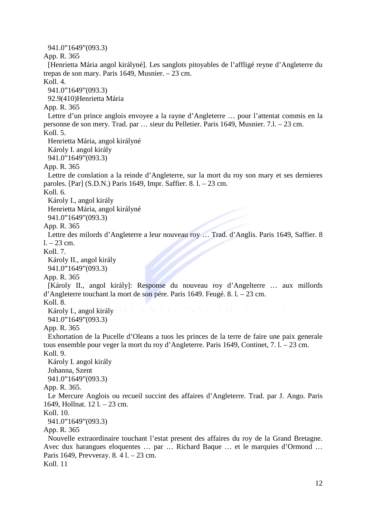941.0"1649"(093.3) App. R. 365 [Henrietta Mária angol királyné]. Les sanglots pitoyables de l'affligé reyne d'Angleterre du trepas de son mary. Paris 1649, Musnier. – 23 cm.  $Kol<sub>1</sub>4$ 941.0"1649"(093.3) 92.9(410)Henrietta Mária App. R. 365 Lettre d'un prince anglois envoyee a la rayne d'Angleterre … pour l'attentat commis en la personne de son mery. Trad. par … sieur du Pelletier. Paris 1649, Musnier. 7.l. – 23 cm. Koll. 5. Henrietta Mária, angol királyné Károly I. angol király 941.0"1649"(093.3) App. R. 365 Lettre de conslation a la reinde d'Angleterre, sur la mort du roy son mary et ses dernieres paroles. [Par] (S.D.N.) Paris 1649, Impr. Saffier. 8. l. – 23 cm. Koll. 6. Károly I., angol király Henrietta Mária, angol királyné 941.0"1649"(093.3) App. R. 365 Lettre des milords d'Angleterre a leur nouveau roy … Trad. d'Anglis. Paris 1649, Saffier. 8  $1. - 23$  cm. Koll. 7. Károly II., angol király 941.0"1649"(093.3) App. R. 365 [Károly II., angol király]: Response du nouveau roy d'Angelterre … aux millords d'Angleterre touchant la mort de son pére. Paris 1649. Feugé. 8. l. – 23 cm. Koll. 8. Károly I., angol király **II. Baroly I. Angol király II. Baroly I.** 941.0"1649"(093.3) App. R. 365 Exhortation de la Pucelle d'Oleans a tuos les princes de la terre de faire une paix generale tous ensemble pour veger la mort du roy d'Angleterre. Paris 1649, Continet, 7. l. – 23 cm. Koll. 9. Károly I. angol király Johanna, Szent 941.0"1649"(093.3) App. R. 365. Le Mercure Anglois ou recueil succint des affaires d'Angleterre. Trad. par J. Ango. Paris 1649, Hollnat. 12 l. – 23 cm. Koll. 10. 941.0"1649"(093.3) App. R. 365 Nouvelle extraordinaire touchant l'estat present des affaires du roy de la Grand Bretagne. Avec dux harangues eloquentes … par … Richard Baque … et le marquies d'Ormond … Paris 1649, Prevveray. 8. 4 l. – 23 cm. Koll. 11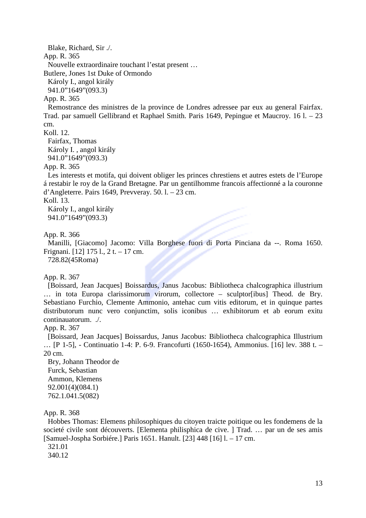Blake, Richard, Sir ./. App. R. 365 Nouvelle extraordinaire touchant l'estat present …

Butlere, Jones 1st Duke of Ormondo

Károly I., angol király

941.0"1649"(093.3)

App. R. 365

Remostrance des ministres de la province de Londres adressee par eux au general Fairfax. Trad. par samuell Gellibrand et Raphael Smith. Paris 1649, Pepingue et Maucroy. 16 l. – 23 cm.

Koll. 12.

Fairfax, Thomas Károly I. , angol király 941.0"1649"(093.3)

App. R. 365

Les interests et motifa, qui doivent obliger les princes chrestiens et autres estets de l'Europe á restabir le roy de la Grand Bretagne. Par un gentilhomme francois affectionné a la couronne d'Angleterre. Pairs 1649, Prevveray. 50. l. – 23 cm.

Koll. 13.

Károly I., angol király 941.0"1649"(093.3)

App. R. 366

Manilli, [Giacomo] Jacomo: Villa Borghese fuori di Porta Pinciana da --. Roma 1650. Frignani. [12] 175 l., 2 t. – 17 cm.

728.82(45Roma)

App. R. 367

[Boissard, Jean Jacques] Boissardus, Janus Jacobus: Bibliotheca chalcographica illustrium … in tota Europa clarissimorum virorum, collectore – sculptor[ibus] Theod. de Bry. Sebastiano Furchio, Clemente Ammonio, antehac cum vitis editorum, et in quinque partes distributorum nunc vero conjunctim, solis iconibus … exhibitorum et ab eorum exitu continauatorum. ./.

App. R. 367

[Boissard, Jean Jacques] Boissardus, Janus Jacobus: Bibliotheca chalcographica Illustrium … [P 1-5], - Continuatio 1-4: P. 6-9. Francofurti (1650-1654), Ammonius. [16] lev. 388 t. – 20 cm.

Bry, Johann Theodor de Furck, Sebastian Ammon, Klemens 92.001(4)(084.1) 762.1.041.5(082)

App. R. 368

Hobbes Thomas: Elemens philosophiques du citoyen traicte poitique ou les fondemens de la societé civile sont découverts. [Elementa philisphica de cive. ] Trad. ... par un de ses amis [Samuel-Jospha Sorbiére.] Paris 1651. Hanult. [23] 448 [16] l. – 17 cm.

321.01

340.12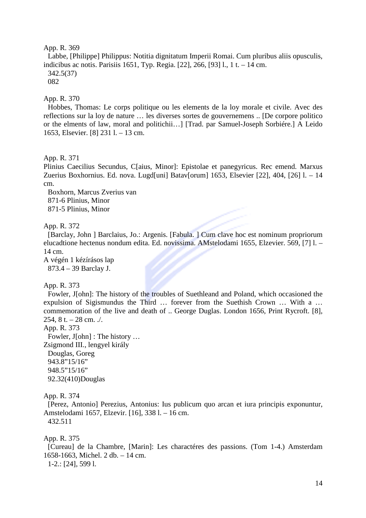Labbe, [Philippe] Philippus: Notitia dignitatum Imperii Romai. Cum pluribus aliis opusculis, indicibus ac notis. Parisiis 1651, Typ. Regia. [22], 266, [93] l., 1 t. – 14 cm.

342.5(37)

082

# App. R. 370

Hobbes, Thomas: Le corps politique ou les elements de la loy morale et civile. Avec des reflections sur la loy de nature … les diverses sortes de gouvernemens .. [De corpore politico or the elments of law, moral and politichii…] [Trad. par Samuel-Joseph Sorbiére.] A Leido 1653, Elsevier. [8] 231 l. – 13 cm.

App. R. 371

Plinius Caecilius Secundus, C[aius, Minor]: Epistolae et panegyricus. Rec emend. Marxus Zuerius Boxhornius. Ed. nova. Lugd[uni] Batav[orum] 1653, Elsevier [22], 404, [26] l. – 14 cm.

Boxhorn, Marcus Zverius van 871-6 Plinius, Minor 871-5 Plinius, Minor

# App. R. 372

[Barclay, John ] Barclaius, Jo.: Argenis. [Fabula. ] Cum clave hoc est nominum propriorum elucadtione hectenus nondum edita. Ed. novissima. AMstelodami 1655, Elzevier. 569, [7] l. – 14 cm.

A végén 1 kézírásos lap 873.4 – 39 Barclay J.

## App. R. 373

Fowler, J[ohn]: The history of the troubles of Suethleand and Poland, which occasioned the expulsion of Sigismundus the Third … forever from the Suethish Crown … With a … commemoration of the live and death of .. George Duglas. London 1656, Print Rycroft. [8], 254,  $8$  t.  $-$  28 cm.  $\sqrt{ }$ .

App. R. 373

Fowler, J[ohn] : The history … Zsigmond III., lengyel király Douglas, Goreg 943.8"15/16" 948.5"15/16" 92.32(410)Douglas

## App. R. 374

[Perez, Antonio] Perezius, Antonius: Ius publicum quo arcan et iura principis exponuntur, Amstelodami 1657, Elzevir. [16], 338 l. – 16 cm. 432.511

App. R. 375

[Cureau] de la Chambre, [Marin]: Les charactéres des passions. (Tom 1-4.) Amsterdam 1658-1663, Michel. 2 db. – 14 cm.

1-2.: [24], 599 l.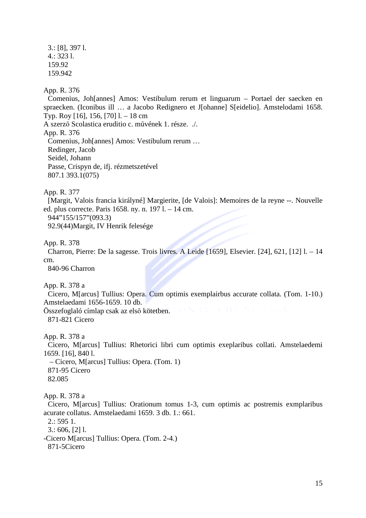3.: [8], 397 l. 4.: 323 l. 159.92 159.942

## App. R. 376

Comenius, Joh[annes] Amos: Vestibulum rerum et linguarum – Portael der saecken en spraecken. (Iconibus ill … a Jacobo Redignero et J[ohanne] S[eidelio]. Amstelodami 1658. Typ. Roy [16], 156, [70] l. – 18 cm A szerző Scolastica eruditio c. művének 1. része. ./. App. R. 376 Comenius, Joh[annes] Amos: Vestibulum rerum … Redinger, Jacob Seidel, Johann Passe, Crispyn de, ifj. rézmetszetével 807.1 393.1(075)

App. R. 377

[Margit, Valois francia királyné] Margierite, [de Valois]: Memoires de la reyne --. Nouvelle ed. plus correcte. Paris 1658. ny. n. 197 l. – 14 cm.

944"155/157"(093.3)

92.9(44)Margit, IV Henrik felesége

App. R. 378

Charron, Pierre: De la sagesse. Trois livres. A Leide [1659], Elsevier. [24], 621, [12] l. – 14 cm.

840-96 Charron

App. R. 378 a

Cicero, M[arcus] Tullius: Opera. Cum optimis exemplairbus accurate collata. (Tom. 1-10.) Amstelaedami 1656-1659. 10 db.

Összefoglaló címlap csak az első kötetben. 871-821 Cicero

App. R. 378 a

Cicero, M[arcus] Tullius: Rhetorici libri cum optimis exeplaribus collati. Amstelaedemi 1659. [16], 840 l.

 – Cicero, M[arcus] Tullius: Opera. (Tom. 1) 871-95 Cicero 82.085

App. R. 378 a

Cicero, M[arcus] Tullius: Orationum tomus 1-3, cum optimis ac postremis exmplaribus acurate collatus. Amstelaedami 1659. 3 db. 1.: 661.

2.: 595 1.

3.: 606, [2] l.

-Cicero M[arcus] Tullius: Opera. (Tom. 2-4.)

871-5Cicero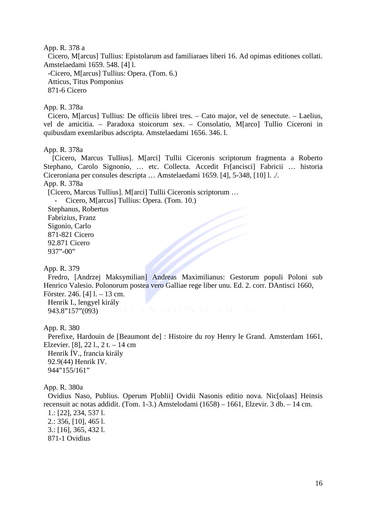#### App. R. 378 a

Cicero, M[arcus] Tullius: Epistolarum asd familiaraes liberi 16. Ad opimas editiones collati. Amstelaedami 1659. 548. [4] l.

-Cicero, M[arcus] Tullius: Opera. (Tom. 6.) Atticus, Titus Pomponius

871-6 Cicero

## App. R. 378a

Cicero, M[arcus] Tullius: De officiis librei tres. – Cato major, vel de senectute. – Laelius, vel de amicitia. – Paradoxa stoicorum sex. – Consolatio, M[arco] Tullio Ciceroni in quibusdam exemlaribus adscripta. Amstelaedami 1656. 346. l.

### App. R. 378a

[Cicero, Marcus Tullius]. M[arci] Tullii Ciceronis scriptorum fragmenta a Roberto Stephano, Carolo Signonio, … etc. Collecta. Accedit Fr[ancisci] Fabricii … historia Ciceroniana per consules descripta … Amstelaedami 1659. [4], 5-348, [10] l. ./. App. R. 378a

[Cicero, Marcus Tullius]. M[arci] Tullii Ciceronis scriptorum …

- Cicero, M[arcus] Tullius: Opera. (Tom. 10.)

Stephanus, Robertus Fabrizius, Franz Sigonio, Carlo 871-821 Cicero 92.871 Cicero 937"-00"

App. R. 379

Fredro, [Andrzej Maksymilian] Andreas Maximilianus: Gestorum populi Poloni sub Henrico Valesio. Polonorum postea vero Galliae rege liber unu. Ed. 2. corr. DAntisci 1660,

Főrster. 246. [4] l. – 13 cm. Henrik I., lengyel király 943.8"157"(093)

App. R. 380

Perefixe, Hardouin de [Beaumont de] : Histoire du roy Henry le Grand. Amsterdam 1661, Elzevier. [8], 22 l., 2 t. – 14 cm Henrik ÍV., francia király 92.9(44) Henrik IV. 944"155/161"

App. R. 380a

Ovidius Naso, Publius. Operum P[ublii] Ovidii Nasonis editio nova. Nic[olaas] Heinsis recensuit ac notas addidit. (Tom. 1-3.) Amstelodami (1658) – 1661, Elzevir. 3 db. – 14 cm.

1.: [22], 234, 537 l. 2.: 356, [10], 465 l. 3.: [16], 365, 432 l. 871-1 Ovidius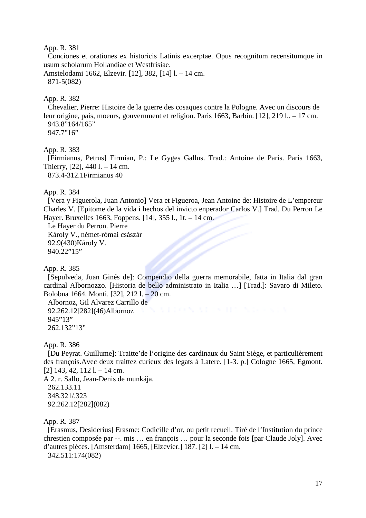Conciones et orationes ex historicis Latinis excerptae. Opus recognitum recensitumque in usum scholarum Hollandiae et Westfrisiae.

Amstelodami 1662, Elzevir. [12], 382, [14] l. – 14 cm. 871-5(082)

#### App. R. 382

Chevalier, Pierre: Histoire de la guerre des cosaques contre la Pologne. Avec un discours de leur origine, pais, moeurs, gouvernment et religion. Paris 1663, Barbin. [12], 219 l.. – 17 cm. 943.8"164/165" 947.7"16"

## App. R. 383

[Firmianus, Petrus] Firmian, P.: Le Gyges Gallus. Trad.: Antoine de Paris. Paris 1663, Thierry, [22], 440 l. – 14 cm.

873.4-312.1Firmianus 40

### App. R. 384

[Vera y Figuerola, Juan Antonio] Vera et Figueroa, Jean Antoine de: Histoire de L'empereur Charles V. [Epitome de la vida i hechos del invicto enperador Carlos V.] Trad. Du Perron Le Hayer. Bruxelles 1663, Foppens. [14], 355 l., 1t. – 14 cm.

Le Hayer du Perron. Pierre Károly V., német-római császár 92.9(430)Károly V. 940.22"15"

App. R. 385

[Sepulveda, Juan Ginés de]: Compendio della guerra memorabile, fatta in Italia dal gran cardinal Albornozzo. [Historia de bello administrato in Italia …] [Trad.]: Savaro di Mileto. Bolobna 1664. Monti. [32], 212 l. – 20 cm.

Albornoz, Gil Alvarez Carrillo de 92.262.12[282](46)Albornoz 945"13" 262.132"13"

App. R. 386

[Du Peyrat. Guillume]: Traitte'de l'origine des cardinaux du Saint Siège, et particulièrement des françois.Avec deux traittez curieux des legats à Latere. [1-3. p.] Cologne 1665, Egmont. [2] 143, 42, 112 l. – 14 cm.

A 2. r. Sallo, Jean-Denis de munkája. 262.133.11 348.321/.323 92.262.12[282](082)

#### App. R. 387

[Erasmus, Desiderius] Erasme: Codicille d'or, ou petit recueil. Tiré de l'Institution du prince chrestien composée par --. mis … en françois … pour la seconde fois [par Claude Joly]. Avec d'autres pièces. [Amsterdam] 1665, [Elzevier.] 187. [2] l. – 14 cm.

342.511:174(082)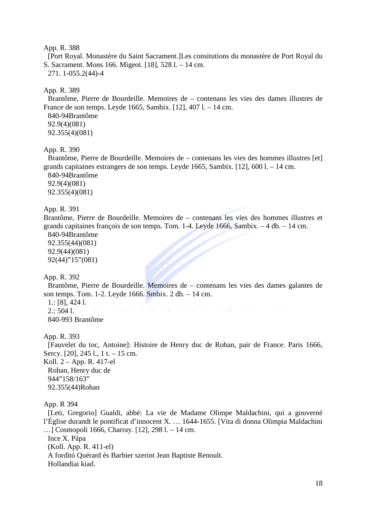[Port Royal. Monastère du Saint Sacrament.]Les consitutions du monastère de Port Royal du S. Sacrament. Mons 166. Migeot. [18], 528 l. – 14 cm. 271. 1-055.2(44)-4

App. R. 389

Brantôme, Pierre de Bourdeille. Memoires de – contenans les vies des dames illustres de France de son temps. Leyde 1665, Sambix. [12], 407 l. – 14 cm.

840-94Brantôme 92.9(4)(081) 92.355(4)(081)

App. R. 390

Brantôme, Pierre de Bourdeille. Memoires de – contenans les vies des hommes illustres [et] grands capitaines estrangers de son temps. Leyde 1665, Sambix. [12], 600 l. – 14 cm.

840-94Brantôme 92.9(4)(081) 92.355(4)(081)

App. R. 391

Brantôme, Pierre de Bourdeille. Memoires de – contenans les vies des hommes illustres et grands capitaines françois de son temps. Tom. 1-4. Leyde 1666, Sambix. – 4 db. – 14 cm.

840-94Brantôme 92.355(44)(081) 92.9(44)(081) 92(44)"15"(081)

App. R. 392

Brantôme, Pierre de Bourdeille. Memoires de – contenans les vies des dames galantes de son temps. Tom. 1-2. Leyde 1666. Smbix. 2 db. – 14 cm.

1.: [8], 424 l.  $2:5041$ . 840-993 Brantôme

App. R. 393

[Fauvelet du toc, Antoine]: Histoire de Henry duc de Rohan, pair de France. Paris 1666, Sercy. [20], 245 l., 1 t. – 15 cm. Koll. 2 – App. R. 417-el Rohan, Henry duc de 944"158/163" 92.355(44)Rohan

App. R 394

[Leti, Gregorio] Gualdi, abbé: La vie de Madame Olimpe Maldachini, qui a gouverné l'Église durandt le pontificat d'innocent X. … 1644-1655. [Vita di donna Olimpia Maldachini …] Cosmopoli 1666, Charray. [12], 298 l. – 14 cm.

Ince X. Pápa (Koll. App. R. 411-el) A fordító Quérard és Barbier szerint Jean Baptiste Renoult. Hollandiai kiad.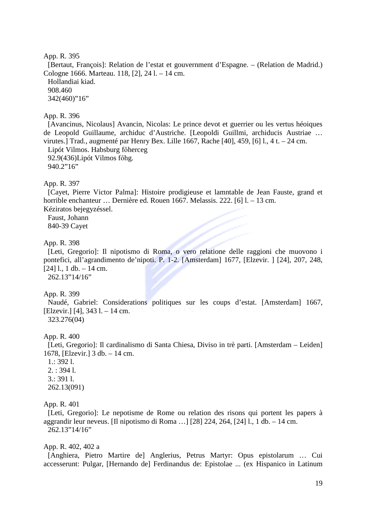[Bertaut, François]: Relation de l'estat et gouvernment d'Espagne. – (Relation de Madrid.) Cologne 1666. Marteau. 118, [2], 24 l. – 14 cm. Hollandiai kiad. 908.460 342(460)"16"

## App. R. 396

[Avancinus, Nicolaus] Avancin, Nicolas: Le prince devot et guerrier ou les vertus héoiques de Leopold Guillaume, archiduc d'Austriche. [Leopoldi Guillmi, archiducis Austriae … virutes.] Trad., augmenté par Henry Bex. Lille 1667, Rache [40], 459, [6] l., 4 t. – 24 cm. Lipót Vilmos. Habsburg főherceg 92.9(436)Lipót Vilmos főhg. 940.2"16"

#### App. R. 397

[Cayet, Pierre Victor Palma]: Histoire prodigieuse et lamntable de Jean Fauste, grand et horrible enchanteur ... Dernière ed. Rouen 1667. Melassis. 222. [6] l. – 13 cm. Kéziratos bejegyzéssel.

Faust, Johann 840-39 Cayet

#### App. R. 398

[Leti, Gregorio]: Il nipotismo di Roma, o vero relatione delle raggioni che muovono i pontefici, all'agrandimento de'nipoti. P. 1-2. [Amsterdam] 1677, [Elzevir. ] [24], 207, 248,  $[24]$  l., 1 db. – 14 cm.

262.13"14/16"

### App. R. 399

Naudé, Gabriel: Considerations politiques sur les coups d'estat. [Amsterdam] 1667, [Elzevir.] [4], 343 l. – 14 cm. 323.276(04)

#### App. R. 400

[Leti, Gregorio]: Il cardinalismo di Santa Chiesa, Diviso in trè parti. [Amsterdam – Leiden] 1678, [Elzevir.] 3 db. – 14 cm.

1.: 392 l. 2. : 394 l. 3.: 391 l. 262.13(091)

#### App. R. 401

[Leti, Gregorio]: Le nepotisme de Rome ou relation des risons qui portent les papers à aggrandir leur neveus. [Il nipotismo di Roma …] [28] 224, 264, [24] l., 1 db. – 14 cm. 262.13"14/16"

#### App. R. 402, 402 a

[Anghiera, Pietro Martire de] Anglerius, Petrus Martyr: Opus epistolarum … Cui accesserunt: Pulgar, [Hernando de] Ferdinandus de: Epistolae ... (ex Hispanico in Latinum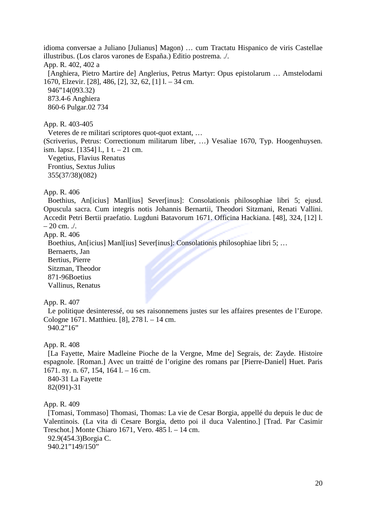idioma conversae a Juliano [Julianus] Magon) … cum Tractatu Hispanico de viris Castellae illustribus. (Los claros varones de España.) Editio postrema. ./. App. R. 402, 402 a [Anghiera, Pietro Martire de] Anglerius, Petrus Martyr: Opus epistolarum … Amstelodami 1670, Elzevir. [28], 486, [2], 32, 62, [1] l. – 34 cm. 946"14(093.32) 873.4-6 Anghiera 860-6 Pulgar.02 734

App. R. 403-405

Veteres de re militari scriptores quot-quot extant, … (Scriverius, Petrus: Correctionum militarum liber, …) Vesaliae 1670, Typ. Hoogenhuysen. ism. lapsz. [1354] l., 1 t. – 21 cm. Vegetius, Flavius Renatus Frontius, Sextus Julius 355(37/38)(082)

### App. R. 406

Boethius, An[icius] Manl[ius] Sever[inus]: Consolationis philosophiae libri 5; ejusd. Opuscula sacra. Cum integris notis Johannis Bernartii, Theodori Sitzmani, Renati Vallini. Accedit Petri Bertii praefatio. Lugduni Batavorum 1671. Officina Hackiana. [48], 324, [12] l.  $-20$  cm.  $/$ .

App. R. 406

Boethius, An[icius] Manl[ius] Sever[inus]: Consolationis philosophiae libri 5; …

Bernaerts, Jan

Bertius, Pierre Sitzman, Theodor 871-96Boetius Vallinus, Renatus

App. R. 407

Le politique desinteressé, ou ses raisonnemens justes sur les affaires presentes de l'Europe. Cologne 1671. Matthieu. [8], 278 l. – 14 cm. 940.2"16"

App. R. 408

[La Fayette, Maire Madleine Pioche de la Vergne, Mme de] Segrais, de: Zayde. Histoire espagnole. [Roman.] Avec un traitté de l'origine des romans par [Pierre-Daniel] Huet. Paris 1671. ny. n. 67, 154, 164 l. – 16 cm.

840-31 La Fayette 82(091)-31

#### App. R. 409

[Tomasi, Tommaso] Thomasi, Thomas: La vie de Cesar Borgia, appellé du depuis le duc de Valentinois. (La vita di Cesare Borgia, detto poi il duca Valentino.] [Trad. Par Casimir Treschot.] Monte Chiaro 1671, Vero. 485 l. – 14 cm. 92.9(454.3)Borgia C.

940.21"149/150"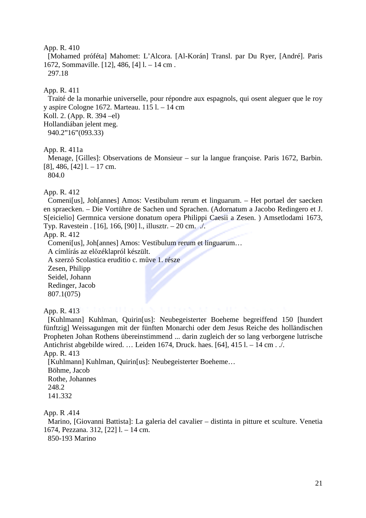[Mohamed próféta] Mahomet: L'Alcora. [Al-Korán] Transl. par Du Ryer, [André]. Paris 1672, Sommaville. [12], 486, [4] l. – 14 cm . 297.18

### App. R. 411

Traité de la monarhie universelle, pour répondre aux espagnols, qui osent aleguer que le roy y aspire Cologne 1672. Marteau. 115 l. – 14 cm Koll. 2. (App. R. 394 –el) Hollandiában jelent meg. 940.2"16"(093.33)

App. R. 411a

Menage, [Gilles]: Observations de Monsieur – sur la langue françoise. Paris 1672, Barbin.  $[8]$ , 486,  $[42]$  l. – 17 cm.

804.0

App. R. 412

Comeni[us], Joh[annes] Amos: Vestibulum rerum et linguarum. – Het portael der saecken en spraecken. – Die Vortühre de Sachen und Sprachen. (Adornatum a Jacobo Redingero et J. S[eicielio] Germnica versione donatum opera Philippi Caesii a Zesen. ) Amsetlodami 1673, Typ. Ravestein . [16], 166, [90] l., illusztr. – 20 cm. ./.

App. R. 412

Comeni[us], Joh[annes] Amos: Vestibulum rerum et linguarum…

A címlírás az előzéklapról készült.

A szerző Scolastica eruditio c. műve 1. része

Zesen, Philipp Seidel, Johann Redinger, Jacob 807.1(075)

App. R. 413

[Kuhlmann] Kuhlman, Quirin[us]: Neubegeisterter Boeheme begreiffend 150 [hundert fünftzig] Weissagungen mit der fünften Monarchi oder dem Jesus Reiche des holländischen Propheten Johan Rothens übereinstimmend ... darin zugleich der so lang verborgene lutrische Antichrist abgebilde wired. … Leiden 1674, Druck. haes. [64], 415 l. – 14 cm . ./.

App. R. 413

[Kuhlmann] Kuhlman, Quirin[us]: Neubegeisterter Boeheme… Böhme, Jacob Rothe, Johannes 248.2 141.332

App. R .414

Marino, [Giovanni Battista]: La galeria del cavalier – distinta in pitture et sculture. Venetia 1674, Pezzana. 312, [22] l. – 14 cm.

850-193 Marino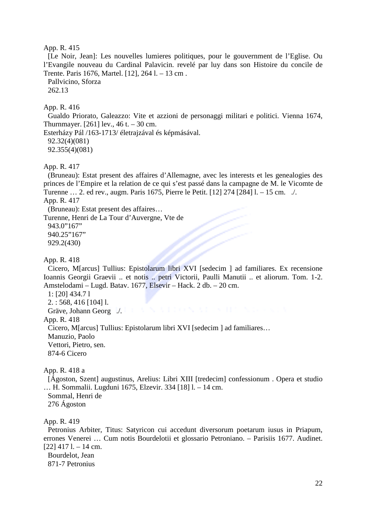[Le Noir, Jean]: Les nouvelles lumieres politiques, pour le gouvernment de l'Eglise. Ou l'Evangile nouveau du Cardinal Palavicin. revelé par luy dans son Histoire du concile de Trente. Paris 1676, Martel. [12], 264 l. – 13 cm .

Pallvicino, Sforza

262.13

### App. R. 416

Gualdo Priorato, Galeazzo: Vite et azzioni de personaggi militari e politici. Vienna 1674, Thurnmayer. [261] lev.,  $46$  t.  $-30$  cm.

Esterházy Pál /163-1713/ életrajzával és képmásával. 92.32(4)(081) 92.355(4)(081)

#### App. R. 417

(Bruneau): Estat present des affaires d'Allemagne, avec les interests et les genealogies des princes de l'Empire et la relation de ce qui s'est passé dans la campagne de M. le Vicomte de Turenne … 2. ed rev., augm. Paris 1675, Pierre le Petit. [12] 274 [284] l. – 15 cm. ./.

App. R. 417

(Bruneau): Estat present des affaires…

Turenne, Henri de La Tour d'Auvergne, Vte de

943.0"167" 940.25"167" 929.2(430)

App. R. 418

Cicero, M[arcus] Tullius: Epistolarum libri XVI [sedecim ] ad familiares. Ex recensione Ioannis Georgii Graevii .. et notis .. petri Victorii, Paulli Manutii .. et aliorum. Tom. 1-2. Amstelodami – Lugd. Batav. 1677, Elsevir – Hack. 2 db. – 20 cm.

1: [20] 434.7 l

2. : 568, 416 [104] l.

Gräve, Johann Georg ./.

# App. R. 418

Cicero, M[arcus] Tullius: Epistolarum libri XVI [sedecim ] ad familiares…

Manuzio, Paolo

Vettori, Pietro, sen. 874-6 Cicero

### App. R. 418 a

[Ágoston, Szent] augustinus, Arelius: Libri XIII [tredecim] confessionum . Opera et studio … H. Sommalii. Lugduni 1675, Elzevir. 334 [18] l. – 14 cm. Sommal, Henri de 276 Ágoston

#### App. R. 419

Petronius Arbiter, Titus: Satyricon cui accedunt diversorum poetarum iusus in Priapum, errones Venerei … Cum notis Bourdelotii et glossario Petroniano. – Parisiis 1677. Audinet.  $[22]$  417 l. – 14 cm. Bourdelot, Jean

871-7 Petronius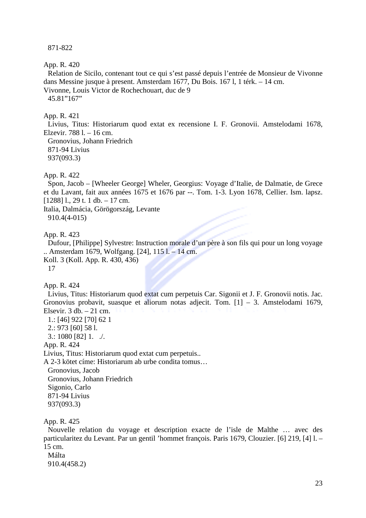871-822

App. R. 420

Relation de Sicilo, contenant tout ce qui s'est passé depuis l'entrée de Monsieur de Vivonne dans Messine jusque à present. Amsterdam 1677, Du Bois. 167 l, 1 térk. – 14 cm. Vivonne, Louis Victor de Rochechouart, duc de 9 45.81"167"

#### App. R. 421

Livius, Titus: Historiarum quod extat ex recensione I. F. Gronovii. Amstelodami 1678, Elzevir. 788 l. – 16 cm.

Gronovius, Johann Friedrich 871-94 Livius 937(093.3)

#### App. R. 422

Spon, Jacob – [Wheeler George] Wheler, Georgius: Voyage d'Italie, de Dalmatie, de Grece et du Lavant, fait aux années 1675 et 1676 par --. Tom. 1-3. Lyon 1678, Cellier. Ism. lapsz. [1288] l., 29 t. 1 db. – 17 cm.

Italia, Dalmácia, Görögország, Levante 910.4(4-015)

App. R. 423

Dufour, [Philippe] Sylvestre: Instruction morale d'un père à son fils qui pour un long voyage .. Amsterdam 1679, Wolfgang. [24], 115 l. – 14 cm. Koll. 3 (Koll. App. R. 430, 436)

17

App. R. 424

Livius, Titus: Historiarum quod extat cum perpetuis Car. Sigonii et J. F. Gronovii notis. Jac. Gronovius probavit, suasque et aliorum notas adjecit. Tom. [1] – 3. Amstelodami 1679, Elsevir.  $3$  db.  $-21$  cm.

1.: [46] 922 [70] 62 1 2.: 973 [60] 58 l. 3.: 1080 [82] 1.  $\sqrt{ }$ . App. R. 424 Livius, Titus: Historiarum quod extat cum perpetuis.. A 2-3 kötet címe: Historiarum ab urbe condita tomus… Gronovius, Jacob Gronovius, Johann Friedrich Sigonio, Carlo 871-94 Livius 937(093.3)

App. R. 425

Nouvelle relation du voyage et description exacte de l'isle de Malthe … avec des particularitez du Levant. Par un gentil 'hommet françois. Paris 1679, Clouzier. [6] 219, [4] l. – 15 cm.

Málta 910.4(458.2)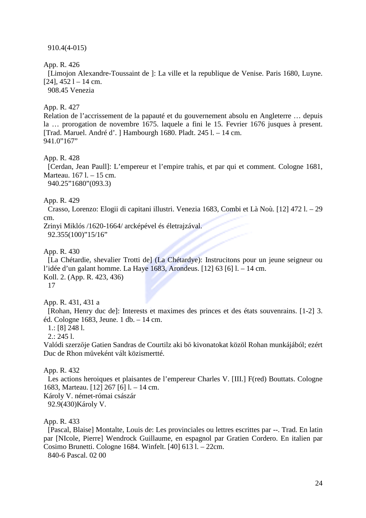910.4(4-015)

App. R. 426

[Limojon Alexandre-Toussaint de ]: La ville et la republique de Venise. Paris 1680, Luyne.  $[24]$ ,  $452$  l – 14 cm.

908.45 Venezia

# App. R. 427

Relation de l'accrissement de la papauté et du gouvernement absolu en Angleterre … depuis la … prorogation de novembre 1675. laquele a fini le 15. Fevrier 1676 jusques à present. [Trad. Maruel. André d'. ] Hambourgh 1680. Pladt. 245 l. – 14 cm. 941.0"167"

## App. R. 428

[Cerdan, Jean Paull]: L'empereur et l'empire trahis, et par qui et comment. Cologne 1681, Marteau. 167 l. – 15 cm.

940.25"1680"(093.3)

### App. R. 429

Crasso, Lorenzo: Elogii di capitani illustri. Venezia 1683, Combi et Là Noù. [12] 472 l. – 29 cm.

Zrinyi Miklós /1620-1664/ arcképével és életrajzával.

92.355(100)"15/16"

App. R. 430

[La Chétardie, shevalier Trotti de] (La Chétardye): Instrucitons pour un jeune seigneur ou l'idée d'un galant homme. La Haye 1683, Arondeus. [12] 63 [6] l. – 14 cm. Koll. 2. (App. R. 423, 436)

17

App. R. 431, 431 a

[Rohan, Henry duc de]: Interests et maximes des princes et des états souvenrains. [1-2] 3. éd. Cologne 1683, Jeune. 1 db. – 14 cm.

1.: [8] 248 l.

2.: 245 l.

Valódi szerzője Gatien Sandras de Courtilz aki bő kivonatokat közöl Rohan munkájából; ezért Duc de Rhon műveként vált közismertté.

App. R. 432

Les actions heroiques et plaisantes de l'empereur Charles V. [III.] F(red) Bouttats. Cologne 1683, Marteau. [12] 267 [6] l. – 14 cm. Károly V. német-római császár 92.9(430)Károly V.

App. R. 433

[Pascal, Blaise] Montalte, Louis de: Les provinciales ou lettres escrittes par --. Trad. En latin par [NIcole, Pierre] Wendrock Guillaume, en espagnol par Gratien Cordero. En italien par Cosimo Brunetti. Cologne 1684. Winfelt. [40] 613 l. – 22cm. 840-6 Pascal. 02 00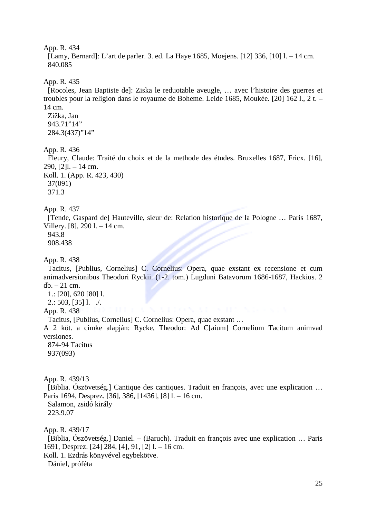[Lamy, Bernard]: L'art de parler. 3. ed. La Haye 1685, Moejens. [12] 336, [10] l. – 14 cm. 840.085

### App. R. 435

[Rocoles, Jean Baptiste de]: Ziska le reduotable aveugle, … avec l'histoire des guerres et troubles pour la religion dans le royaume de Boheme. Leide 1685, Moukée. [20] 162 l., 2 t. – 14 cm.

Zižka, Jan 943.71"14" 284.3(437)"14"

### App. R. 436

Fleury, Claude: Traité du choix et de la methode des études. Bruxelles 1687, Fricx. [16], 290, [2]l. – 14 cm. Koll. 1. (App. R. 423, 430)

37(091) 371.3

#### App. R. 437

[Tende, Gaspard de] Hauteville, sieur de: Relation historique de la Pologne … Paris 1687, Villery. [8], 290 l. – 14 cm. 943.8

908.438

#### App. R. 438

Tacitus, [Publius, Cornelius] C. Cornelius: Opera, quae exstant ex recensione et cum animadversionibus Theodori Ryckii. (1-2. tom.) Lugduni Batavorum 1686-1687, Hackius. 2 db. – 21 cm.

1.: [20], 620 [80] l.

 $2: 503, [35]$  l.  $\therefore$ 

### App. R. 438

Tacitus, [Publius, Cornelius] C. Cornelius: Opera, quae exstant …

A 2 köt. a címke alapján: Rycke, Theodor: Ad C[aium] Cornelium Tacitum animvad versiones.

874-94 Tacitus 937(093)

App. R. 439/13

[Biblia. Ószövetség.] Cantique des cantiques. Traduit en françois, avec une explication … Paris 1694, Desprez. [36], 386, [1436], [8] l. – 16 cm. Salamon, zsidó király 223.9.07

App. R. 439/17

[Biblia, Ószövetség.] Daniel. – (Baruch). Traduit en françois avec une explication … Paris 1691, Desprez. [24] 284, [4], 91, [2] l. – 16 cm.

Koll. 1. Ezdrás könyvével egybekötve.

Dániel, próféta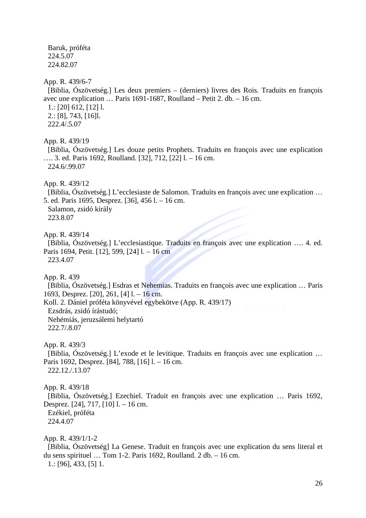Baruk, próféta 224.5.07 224.82.07

App. R. 439/6-7

[Biblia, Ószövetség.] Les deux premiers – (derniers) livres des Rois. Traduits en françois avec une explication … Paris 1691-1687, Roulland – Petit 2. db. – 16 cm.

1.: [20] 612, [12] l. 2.: [8], 743, [16]l. 222.4/.5.07

App. R. 439/19

[Biblia, Ószövetség.] Les douze petits Prophets. Traduits en françois avec une explication …. 3. ed. Paris 1692, Roulland. [32], 712, [22] l. – 16 cm. 224.6/.99.07

App. R. 439/12

[Biblia, Ószövetség.] L'ecclesiaste de Salomon. Traduits en françois avec une explication … 5. ed. Paris 1695, Desprez. [36], 456 l. – 16 cm.

Salamon, zsidó király 223.8.07

App. R. 439/14

[Biblia, Ószövetség.] L'ecclesiastique. Traduits en françois avec une explication …. 4. ed. Paris 1694, Petit. [12], 599, [24] l. – 16 cm 223.4.07

App. R. 439

[Biblia, Ószövetség.] Esdras et Nehemias. Traduits en françois avec une explication … Paris 1693, Desprez. [20], 261, [4] l. – 16 cm.

Koll. 2. Dániel próféta könyvével egybekötve (App. R. 439/17) Ezsdrás, zsidó írástudó;

Nehémiás, jeruzsálemi helytartó 222.7/.8.07

App. R. 439/3

[Biblia, Ószövetség.] L'exode et le levitique. Traduits en françois avec une explication … Paris 1692, Desprez. [84], 788, [16] l. – 16 cm. 222.12./.13.07

App. R. 439/18 [Biblia, Ószövetség.] Ezechiel. Traduit en françois avec une explication … Paris 1692, Desprez. [24], 717, [10] l. – 16 cm. Ezékiel, próféta 224.4.07

App. R. 439/1/1-2

[Biblia, Ószövetség] La Genese. Traduit en françois avec une explication du sens literal et du sens spirituel … Tom 1-2. Paris 1692, Roulland. 2 db. – 16 cm.

1.: [96], 433, [5] 1.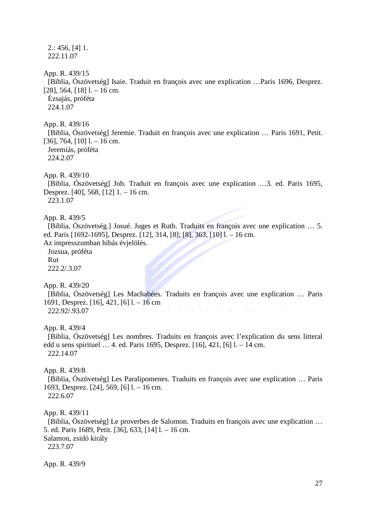$2: 456, 411.$ 222.11.07 App. R. 439/15 [Biblia, Ószövetség] Isaie. Traduit en françois avec une explication …Paris 1696, Desprez. [28], 564, [18] l. – 16 cm. Ézsajás, próféta 224.1.07 App. R. 439/16 [Biblia, Ószövetség] Jeremie. Traduit en françois avec une explication … Paris 1691, Petit. [36], 764, [10]  $1. - 16$  cm. Jeremiás, próféta 224.2.07 App. R. 439/10 [Biblia, Ószövetség] Job. Traduit en françois avec une explication …3. ed. Paris 1695, Desprez. [40], 568, [12] 1. – 16 cm. 223.1.07 App. R. 439/5 [Biblia, Ószövetség.] Josué. Juges et Ruth. Traduits en françois avec une explication … 5. ed. Paris [1692-1695], Desprez. [12], 314, [8]; [8], 363, [10] l. – 16 cm. Az impresszumban hibás évjelölés. Jozsua, próféta Rut 222.2/.3.07 App. R. 439/20 [Biblia, Ószövetség] Les Machabées. Traduits en françois avec une explication … Paris 1691, Desprez. [16], 421, [6] l. – 16 cm 222.92/.93.07 App. R. 439/4 [Biblia, Ószövetség] Les nombres. Traduits en françois avec l'explication du sens litteral edd u sens spirituel … 4. ed. Paris 1695, Desprez. [16], 421, [6] l. – 14 cm. 222.14.07 App. R. 439/8 [Biblia, Ószövetség] Les Paralipomenes. Traduits en françois avec une explication … Paris 1693, Desprez. [24], 569, [6] l. – 16 cm. 222.6.07 App. R. 439/11 [Biblia, Ószövetség] Le proverbes de Salomon. Traduits en françois avec une explication … 5. ed. Paris 1689, Petit. [36], 633, [14] l. – 16 cm. Salamon, zsidó király 223.7.07 App. R. 439/9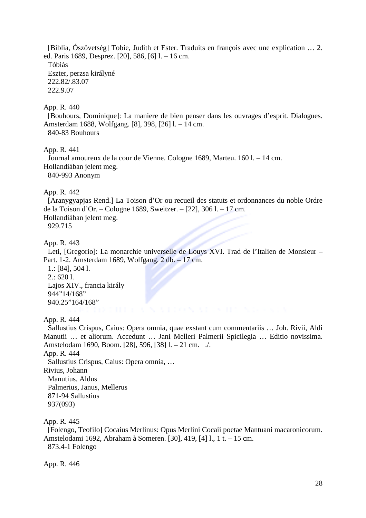[Biblia, Ószövetség] Tobie, Judith et Ester. Traduits en françois avec une explication … 2. ed. Paris 1689, Desprez. [20], 586, [6] l. – 16 cm. Tóbiás Eszter, perzsa királyné 222.82/.83.07 222.9.07

App. R. 440

[Bouhours, Dominique]: La maniere de bien penser dans les ouvrages d'esprit. Dialogues. Amsterdam 1688, Wolfgang. [8], 398, [26] l. – 14 cm. 840-83 Bouhours

App. R. 441

Journal amoureux de la cour de Vienne. Cologne 1689, Marteu. 160 l. – 14 cm. Hollandiában jelent meg. 840-993 Anonym

App. R. 442

[Aranygyapjas Rend.] La Toison d'Or ou recueil des statuts et ordonnances du noble Ordre de la Toison d'Or. – Cologne 1689, Sweitzer. – [22], 306 l. – 17 cm. Hollandiában jelent meg. 929.715

App. R. 443

Leti, [Gregorio]: La monarchie universelle de Louys XVI. Trad de l'Italien de Monsieur – Part. 1-2. Amsterdam 1689, Wolfgang. 2 db. – 17 cm.

1.: [84], 504 l. 2.: 620 l. Lajos XIV., francia király 944"14/168" 940.25"164/168"

App. R. 444

Sallustius Crispus, Caius: Opera omnia, quae exstant cum commentariis … Joh. Rivii, Aldi Manutii … et aliorum. Accedunt … Jani Melleri Palmerii Spicilegia … Editio novissima. Amstelodam 1690, Boom. [28], 596, [38] l. – 21 cm. ./.

App. R. 444

Sallustius Crispus, Caius: Opera omnia, …

Rivius, Johann

Manutius, Aldus

Palmerius, Janus, Mellerus 871-94 Sallustius

937(093)

App. R. 445

[Folengo, Teofilo] Cocaius Merlinus: Opus Merlini Cocaii poetae Mantuani macaronicorum. Amstelodami 1692, Abraham à Someren. [30], 419, [4] l., 1 t. – 15 cm. 873.4-1 Folengo

App. R. 446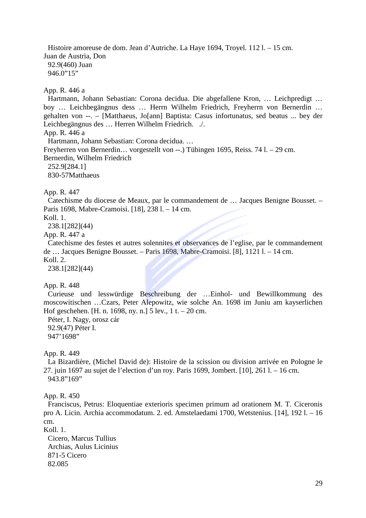Histoire amoreuse de dom. Jean d'Autriche. La Haye 1694, Troyel. 112 l. – 15 cm. Juan de Austria, Don 92.9(460) Juan 946.0"15"

App. R. 446 a

Hartmann, Johann Sebastian: Corona decidua. Die abgefallene Kron, … Leichpredigt … boy … Leichbegängnus dess … Herrn Wilhelm Friedrich, Freyherrn von Bernerdin … gehalten von --. – [Matthaeus, Jo[ann] Baptista: Casus infortunatus, sed beatus ... bey der Leichbegängnus des … Herren Wilhelm Friedrich. ./. App. R. 446 a Hartmann, Johann Sebastian: Corona decidua. … Freyherren von Bernerdin… vorgestellt von --.) Tübingen 1695, Reiss. 74 l. – 29 cm. Bernerdin, Wilhelm Friedrich 252.9[284.1]

830-57Matthaeus

App. R. 447

Catechisme du diocese de Meaux, par le commandement de … Jacques Benigne Bousset. – Paris 1698, Mabre-Cramoisi. [18], 238 l. – 14 cm.

Koll. 1.

238.1[282](44)

App. R. 447 a

Catechisme des festes et autres solennites et observances de l'eglise, par le commandement de … Jacques Benigne Bousset. – Paris 1698, Mabre-Cramoisi. [8], 1121 l. – 14 cm.

Koll. 2.

238.1[282](44)

#### App. R. 448

Curieuse und lesswürdige Beschreibung der …Einhol- und Bewillkommung des moscowitischen …Czars, Peter Alepowitz, wie solche An. 1698 im Juniu am kayserlichen Hof geschehen. [H. n. 1698, ny. n.] 5 lev., 1 t. – 20 cm.

Péter, I. Nagy, orosz cár 92.9(47) Péter I. 947'1698"

App. R. 449

La Bizardière, (Michel David de): Histoire de la scission ou division arrivée en Pologne le 27. juin 1697 au sujet de l'election d'un roy. Paris 1699, Jombert. [10], 261 l. – 16 cm. 943.8"169"

App. R. 450

Franciscus, Petrus: Eloquentiae exterioris specimen primum ad orationem M. T. Ciceronis pro A. Licin. Archia accommodatum. 2. ed. Amstelaedami 1700, Wetstenius. [14], 192 l. – 16 cm. Koll. 1.

Cicero, Marcus Tullius Archias, Aulus Licinius 871-5 Cicero 82.085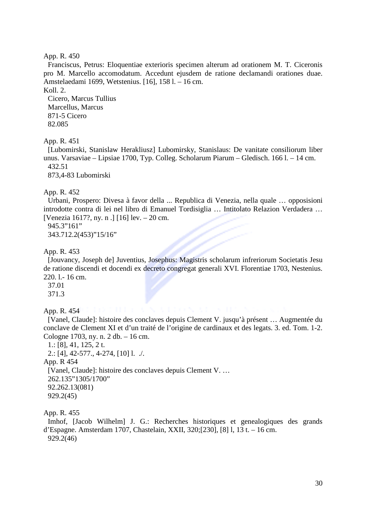Franciscus, Petrus: Eloquentiae exterioris specimen alterum ad orationem M. T. Ciceronis pro M. Marcello accomodatum. Accedunt ejusdem de ratione declamandi orationes duae. Amstelaedami 1699, Wetstenius. [16], 158 l. – 16 cm.

Koll. 2.

Cicero, Marcus Tullius Marcellus, Marcus 871-5 Cicero 82.085

### App. R. 451

[Lubomirski, Stanislaw Herakliusz] Lubomirsky, Stanislaus: De vanitate consiliorum liber unus. Varsaviae – Lipsiae 1700, Typ. Colleg. Scholarum Piarum – Gledisch. 166 l. – 14 cm. 432.51

873,4-83 Lubomirski

### App. R. 452

Urbani, Prospero: Divesa à favor della ... Republica di Venezia, nella quale … opposisioni introdotte contra di lei nel libro di Emanuel Tordisiglia … Intitolato Relazion Verdadera … [Venezia 1617?, ny. n .] [16] lev. – 20 cm.

945.3"161"

343.712.2(453)"15/16"

### App. R. 453

[Jouvancy, Joseph de] Juventius, Josephus: Magistris scholarum infreriorum Societatis Jesu de ratione discendi et docendi ex decreto congregat generali XVI. Florentiae 1703, Nestenius. 220. l.- 16 cm.

37.01

371.3

App. R. 454

[Vanel, Claude]: histoire des conclaves depuis Clement V. jusqu'à présent … Augmentée du conclave de Clement XI et d'un traité de l'origine de cardinaux et des legats. 3. ed. Tom. 1-2. Cologne 1703, ny. n. 2 db. – 16 cm.

```
1.: [8], 41, 125, 2 t. 
 2.: [4], 42-577., 4-274, [10] l. ./. 
App. R 454 
 [Vanel, Claude]: histoire des conclaves depuis Clement V. … 
 262.135"1305/1700" 
 92.262.13(081) 
 929.2(45)
```
App. R. 455

Imhof, [Jacob Wilhelm] J. G.: Recherches historiques et genealogiques des grands d'Espagne. Amsterdam 1707, Chastelain, XXII, 320;[230], [8] l, 13 t. – 16 cm. 929.2(46)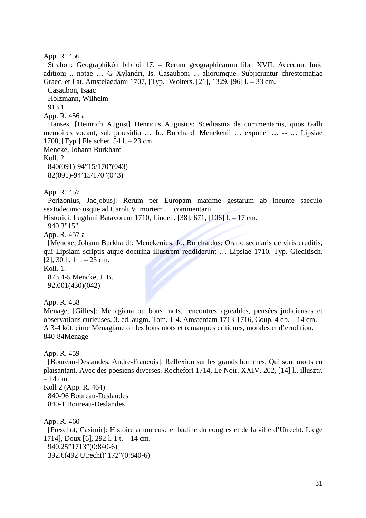Strabon: Geographikón biblioi 17. – Rerum geographicarum libri XVII. Accedunt huic aditioni .. notae … G Xylandri, Is. Casauboni ... aliorumque. Subjiciuntur chrestomatiae Graec. et Lat. Amstelaedami 1707, [Typ.] Wolters. [21], 1329, [96] l. – 33 cm.

Casaubon, Isaac

Holzmann, Wilhelm

913.1

App. R. 456 a

Hanses, [Heinrich August] Henricus Augustus: Scediasma de commentariis, quos Galli memoires vocant, sub praesidio … Jo. Burchardi Menckenii … exponet … -- … Lipsiae 1708, [Typ.] Fleischer. 54 l. – 23 cm.

Mencke, Johann Burkhard Koll. 2.

840(091)-94"15/170"(043) 82(091)-94'15/170"(043)

App. R. 457

Perizonius, Jac[obus]: Rerum per Europam maxime gestarum ab ineunte saeculo sextodecimo usque ad Caroli V. mortem … commentarii

Historici. Lugduni Batavorum 1710, Linden. [38], 671, [106] l. – 17 cm.

940.3"15"

App. R. 457 a

[Mencke, Johann Burkhard]: Menckenius. Jo. Burchardus: Oratio secularis de viris eruditis, qui Lipsiam scriptis atque doctrina illustrem reddiderunt … Lipsiae 1710, Typ. Gleditisch. [2],  $30 \, \text{l}$ ,  $1 \, \text{t}$ .  $- 23 \, \text{cm}$ .

 $Kol1$  1.

873.4-5 Mencke, J. B. 92.001(430)(042)

App. R. 458

Menage, [Gilles]: Menagiana ou bons mots, rencontres agreables, pensées judicieuses et observations curieuses. 3. ed. augm. Tom. 1-4. Amsterdam 1713-1716, Coup. 4 db. – 14 cm. A 3-4 köt. címe Menagiane on les bons mots et remarques critiques, morales et d'erudition. 840-84Menage

App. R. 459

[Boureau-Deslandes, André-Francois]: Reflexion sur les grands hommes, Qui sont morts en plaisantant. Avec des poesiens diverses. Rochefort 1714, Le Noir. XXIV. 202, [14] l., illusztr. – 14 cm.

Koll 2 (App. R. 464)

840-96 Boureau-Deslandes

840-1 Boureau-Deslandes

App. R. 460

[Freschot, Casimir]: Histoire amoureuse et badine du congres et de la ville d'Utrecht. Liege 1714], Doux [6], 292 l. 1 t. – 14 cm. 940.25"1713"(0:840-6) 392.6(492 Utrecht)"172"(0:840-6)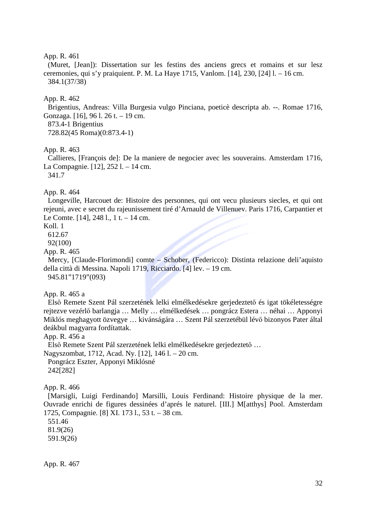(Muret, [Jean]): Dissertation sur les festins des anciens grecs et romains et sur lesz ceremonies, qui s'y praiquient. P. M. La Haye 1715, Vanlom. [14], 230, [24] l. – 16 cm. 384.1(37/38)

#### App. R. 462

Brigentius, Andreas: Villa Burgesia vulgo Pinciana, poeticè descripta ab. --. Romae 1716, Gonzaga. [16], 96 l. 26 t. – 19 cm.

873.4-1 Brigentius

728.82(45 Roma)(0:873.4-1)

#### App. R. 463

Callieres, [François de]: De la maniere de negocier avec les souverains. Amsterdam 1716, La Compagnie. [12], 252 l. – 14 cm.

341.7

App. R. 464

Longeville, Harcouet de: Histoire des personnes, qui ont vecu plusieurs siecles, et qui ont rejeuni, avec e secret du rajeunissement tiré d'Arnauld de Villenuev. Paris 1716, Carpantier et Le Comte. [14], 248 l., 1 t. – 14 cm.

Koll. 1

612.67

92(100)

App. R. 465

Mercy, [Claude-Florimondi] comte – Schober, (Federicco): Distinta relazione deli'aquisto della città di Messina. Napoli 1719, Ricciardo. [4] lev. – 19 cm. 945.81"1719"(093)

App. R. 465 a

Első Remete Szent Pál szerzetének lelki elmélkedésekre gerjedeztető és igat tökéletességre rejtezve vezérlő barlangja … Melly … elmélkedések … pongrácz Estera … néhai … Apponyi Miklós meghagyott özvegye … kivánságára … Szent Pál szerzetébül lévő bizonyos Pater által deákbul magyarra fordítattak.

App. R. 456 a

Első Remete Szent Pál szerzetének lelki elmélkedésekre gerjedeztető …

Nagyszombat, 1712, Acad. Ny. [12], 146 l. – 20 cm.

Pongrácz Eszter, Apponyi Miklósné 242[282]

App. R. 466

[Marsigli, Luigi Ferdinando] Marsilli, Louis Ferdinand: Histoire physique de la mer. Ouvrade enrichi de figures dessinées d'aprés le naturel. [III.] M[atthys] Pool. Amsterdam 1725, Compagnie. [8] XI. 173 l., 53 t. – 38 cm.

551.46

81.9(26) 591.9(26)

App. R. 467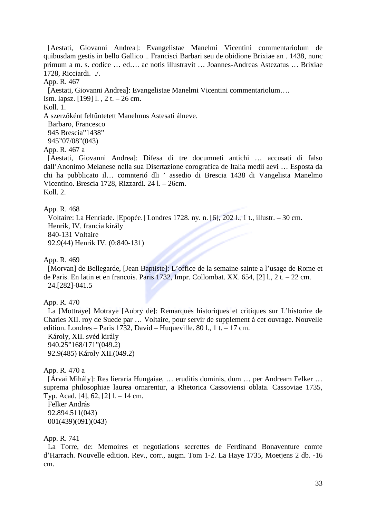[Aestati, Giovanni Andrea]: Evangelistae Manelmi Vicentini commentariolum de quibusdam gestis in bello Gallico .. Francisci Barbari seu de obidione Brixiae an . 1438, nunc primum a m. s. codice … ed…. ac notis illustravit … Joannes-Andreas Astezatus … Brixiae 1728, Ricciardi. ./.

#### App. R. 467

[Aestati, Giovanni Andrea]: Evangelistae Manelmi Vicentini commentariolum….

Ism. lapsz. [199] l. , 2 t. – 26 cm.

#### Koll. 1.

A szerzőként feltűntetett Manelmus Astesati álneve.

Barbaro, Francesco

945 Brescia"1438"

945"07/08"(043)

#### App. R. 467 a

[Aestati, Giovanni Andrea]: Difesa di tre documneti antichi … accusati di falso dall'Anonimo Melanese nella sua Disertazione corografica de Italia medii aevi … Esposta da chi ha pubblicato il… comnterió dli ' assedio di Brescia 1438 di Vangelista Manelmo Vicentino. Brescia 1728, Rizzardi. 24 l. – 26cm. Koll. 2.

#### App. R. 468

Voltaire: La Henriade. [Epopée.] Londres 1728. ny. n. [6], 202 l., 1 t., illustr. – 30 cm. Henrik, IV. francia király 840-131 Voltaire 92.9(44) Henrik IV. (0:840-131)

#### App. R. 469

[Morvan] de Bellegarde, [Jean Baptiste]: L'office de la semaine-sainte a l'usage de Rome et de Paris. En latin et en francois. Paris 1732, Impr. Collombat. XX. 654, [2] l., 2 t. – 22 cm. 24.[282]-041.5

### App. R. 470

La [Mottraye] Motraye [Aubry de]: Remarques historiques et critiques sur L'historire de Charles XII. roy de Suede par … Voltaire, pour servir de supplement à cet ouvrage. Nouvelle edition. Londres – Paris 1732, David – Huqueville. 80 l., 1 t. – 17 cm.

Károly, XII. svéd király 940.25"168/171"(049.2) 92.9(485) Károly XII.(049.2)

#### App. R. 470 a

[Árvai Mihály]: Res lieraria Hungaiae, … eruditis dominis, dum … per Andream Felker … suprema philosophiae laurea ornarentur, a Rhetorica Cassoviensi oblata. Cassoviae 1735, Typ. Acad. [4], 62, [2] l. – 14 cm.

Felker András 92.894.511(043) 001(439)(091)(043)

### App. R. 741

La Torre, de: Memoires et negotiations secrettes de Ferdinand Bonaventure comte d'Harrach. Nouvelle edition. Rev., corr., augm. Tom 1-2. La Haye 1735, Moetjens 2 db. -16 cm.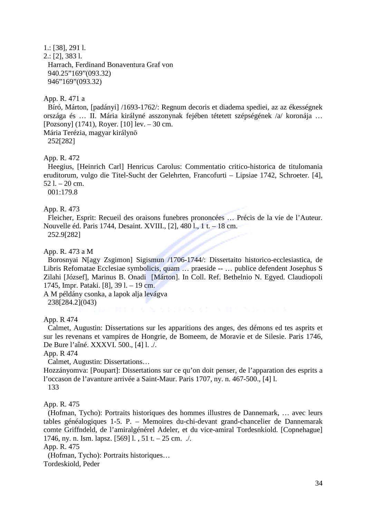1.: [38], 291 l. 2.: [2], 383 l. Harrach, Ferdinand Bonaventura Graf von 940.25"169"(093.32) 946"169"(093.32)

### App. R. 471 a

Bíró, Márton, [padányi] /1693-1762/: Regnum decoris et diadema spediei, az az ékességnek országa és … II. Mária királyné asszonynak fejében tétetett szépségének /a/ koronája … [Pozsony] (1741), Royer. [10] lev. – 30 cm.

Mária Terézia, magyar királynő 252[282]

#### App. R. 472

Heegius, [Heinrich Carl] Henricus Carolus: Commentatio critico-historica de titulomania eruditorum, vulgo die Titel-Sucht der Gelehrten, Francofurti – Lipsiae 1742, Schroeter. [4],  $52$  l.  $-20$  cm.

001:179.8

#### App. R. 473

Fleicher, Esprit: Recueil des oraisons funebres prononcées … Précis de la vie de l'Auteur. Nouvelle éd. Paris 1744, Desaint. XVIII., [2], 480 l., 1 t. – 18 cm. 252.9[282]

### App. R. 473 a M

Borosnyai N[agy Zsgimon] Sigismun /1706-1744/: Dissertaito historico-ecclesiastica, de Libris Refomatae Ecclesiae symbolicis, quam … praeside -- … publice defendent Josephus S Zilahi [József], Marinus B. Onadi [Márton]. In Coll. Ref. Bethelnio N. Egyed. Claudiopoli 1745, Impr. Pataki. [8], 39 l. – 19 cm.

A M példány csonka, a lapok alja levágva

238[284.2](043)

App. R 474

Calmet, Augustin: Dissertations sur les apparitions des anges, des démons ed tes asprits et sur les revenans et vampires de Hongrie, de Bomeem, de Moravie et de Silesie. Paris 1746, De Bure l'aîné. XXXVI. 500., [4] l. ./.

App. R 474

Calmet, Augustin: Dissertations…

Hozzányomva: [Poupart]: Dissertations sur ce qu'on doit penser, de l'apparation des esprits a l'occason de l'avanture arrivée a Saint-Maur. Paris 1707, ny. n. 467-500., [4] l.

133

#### App. R. 475

(Hofman, Tycho): Portraits historiques des hommes illustres de Dannemark, … avec leurs tables généalogiques 1-5. P. – Memoires du-chi-devant grand-chancelier de Dannemarak comte Griffndeld, de l'amiralgénérel Adeler, et du vice-amiral Tordesnkiold. [Copnehague] 1746, ny. n. Ism. lapsz. [569] l., 51 t. – 25 cm. ./.

App. R. 475

(Hofman, Tycho): Portraits historiques… Tordeskiold, Peder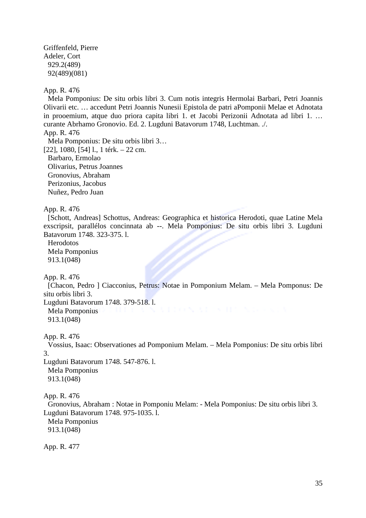Griffenfeld, Pierre Adeler, Cort 929.2(489) 92(489)(081)

App. R. 476

Mela Pomponius: De situ orbis libri 3. Cum notis integris Hermolai Barbari, Petri Joannis Olivarii etc. … accedunt Petri Joannis Nunesii Epistola de patri aPomponii Melae et Adnotata in prooemium, atque duo priora capita libri 1. et Jacobi Perizonii Adnotata ad libri 1. … curante Abrhamo Gronovio. Ed. 2. Lugduni Batavorum 1748, Luchtman. ./.

App. R. 476

Mela Pomponius: De situ orbis libri 3… [22], 1080, [54] l., 1 térk. – 22 cm. Barbaro, Ermolao Olivarius, Petrus Joannes Gronovius, Abraham Perizonius, Jacobus Nuñez, Pedro Juan

App. R. 476

[Schott, Andreas] Schottus, Andreas: Geographica et historica Herodoti, quae Latine Mela exscripsit, parallélos concinnata ab --. Mela Pomponius: De situ orbis libri 3. Lugduni Batavorum 1748. 323-375. l.

Herodotos Mela Pomponius 913.1(048)

App. R. 476

[Chacon, Pedro ] Ciacconius, Petrus: Notae in Pomponium Melam. – Mela Pomponus: De situ orbis libri 3.

Lugduni Batavorum 1748. 379-518. l.

Mela Pomponius 913.1(048)

App. R. 476

Vossius, Isaac: Observationes ad Pomponium Melam. – Mela Pomponius: De situ orbis libri 3.

Lugduni Batavorum 1748. 547-876. l. Mela Pomponius 913.1(048)

App. R. 476

Gronovius, Abraham : Notae in Pomponiu Melam: - Mela Pomponius: De situ orbis libri 3. Lugduni Batavorum 1748. 975-1035. l.

Mela Pomponius 913.1(048)

App. R. 477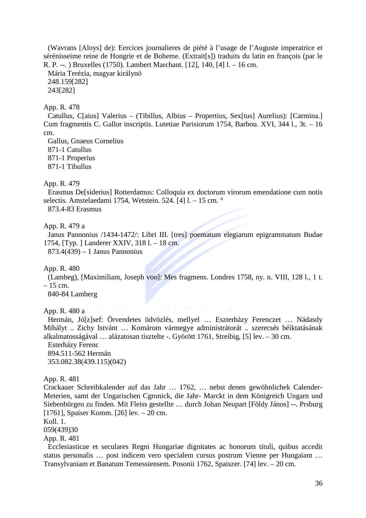(Wavrans [Aloys] de): Eercices journalieres de piété à l'usage de l'Auguste imperatrice et sérénisseime reine de Hongrie et de Boheme. (Extrait[s]) traduits du latin en françois (par le R. P. --. ) Bruxelles (1750). Lambert Marchant. [12], 140, [4] l. – 16 cm.

Mária Terézia, magyar királynő 248.159[282] 243[282]

## App. R. 478

Catullus, C[aius] Valerius – (Tibillus, Albius – Propertius, Sex[tus] Aurelius): [Carmina.] Cum fragmentis C. Gallor inscriptis. Lutetiae Parisiorum 1754, Barbou. XVI, 344 l., 3t. – 16 cm.

Gallus, Gnaeus Cornelius 871-1 Catullus 871-1 Properius

871-1 Tibullus

App. R. 479

Erasmus De[siderius] Rotterdamus: Colloquia ex doctorum virorum emendatione cum notis selectis. Amstelaedami 1754, Wetstein. 524. [4] l. - 15 cm. °

873.4-83 Erasmus

App. R. 479 a

Janus Pannonius /1434-1472/: Libri III. [tres] poematum elegiarum epigrammatum Budae 1754, [Typ. ] Landerer XXIV, 318 l. – 18 cm.

873.4(439) – 1 Janus Pannonius

App. R. 480

(Lambeg), [Maximiliam, Joseph von]: Mes fragmens. Londres 1758, ny. n. VIII, 128 l., 1 t. – 15 cm.

840-84 Lamberg

App. R. 480 a

Hermán, Jó[z]sef: Örvendetes üdvözlés, mellyel … Eszterházy Ferenczet … Nádasdy Mihályt .. Zichy Istvánt … Komárom vármegye administrátorát .. szerecsés béiktatásának alkalmatosságával … alázatosan tisztelte -. Győrött 1761, Streibig, [5] lev. – 30 cm.

Esterházy Ferenc 894.511-562 Hermán 353.082.38(439.115)(042)

App. R. 481

Crackauer Schreibkalender auf das Jahr … 1762, … nebst denen gewöhnlichek Calender-Meterien, samt der Ungarischen Cgronick, die Jahr- Marckt in dem Königreich Ungarn und Siebenbürgen zu finden. Mit Fleiss gestellte … durch Johan Neupart [Földy János] --. Prsburg [1761], Spaiser Komm. [26] lev. – 20 cm.

Koll. 1.

059(439)30

App. R. 481

Ecclesiasticae et seculares Regni Hungariae dignitates ac honorum tituli, quibus accedit status personalis … post indicem vero specialem cursus postrum Vienne per Hungaiam … Transylvaniam et Banatum Temessiensem. Posonii 1762, Spaiszer. [74] lev. – 20 cm.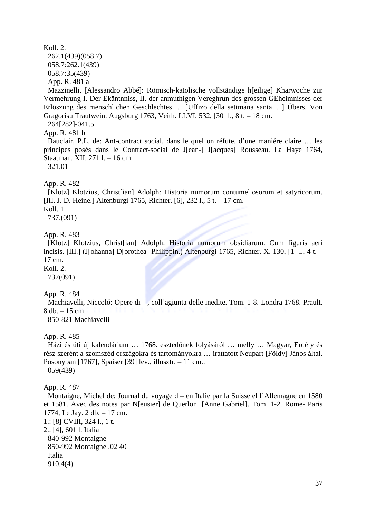# Koll. 2.

262.1(439)(058.7) 058.7:262.1(439) 058.7:35(439)

App. R. 481 a

Mazzinelli, [Alessandro Abbé]: Römisch-katolische vollständige h[eilige] Kharwoche zur Vermehrung I. Der Ekäntnniss, II. der anmuthigen Vereghrun des grossen GEheimnisses der Erlöszung des menschlichen Geschlechtes … [Uffizo della settmana santa .. ] Übers. Von Gragorisu Trautwein. Augsburg 1763, Veith. LLVI, 532, [30] l., 8 t. – 18 cm.

264[282]-041.5

# App. R. 481 b

Bauclair, P.L. de: Ant-contract social, dans le quel on réfute, d'une maniére claire … les principes posés dans le Contract-social de J[ean-] J[acques] Rousseau. La Haye 1764, Staatman. XII. 271 l. – 16 cm.

321.01

App. R. 482

[Klotz] Klotzius, Christ[ian] Adolph: Historia numorum contumeliosorum et satyricorum. [III. J. D. Heine.] Altenburgi 1765, Richter. [6], 232 l., 5 t. – 17 cm.

Koll. 1.

737.(091)

App. R. 483

[Klotz] Klotzius, Christ[ian] Adolph: Historia numorum obsidiarum. Cum figuris aeri incisis. [III.] (J[ohanna] D[orothea] Philippin.) Altenburgi 1765, Richter. X. 130, [1] l., 4 t. – 17 cm.

Koll. 2.

737(091)

App. R. 484

Machiavelli, Niccoló: Opere di --, coll'agiunta delle inedite. Tom. 1-8. Londra 1768. Prault. 8 db. – 15 cm. 850-821 Machiavelli

App. R. 485

Házi és úti új kalendárium … 1768. esztedőnek folyásáról … melly … Magyar, Erdély és rész szerént a szomszéd országokra és tartományokra … irattatott Neupart [Földy] János által. Posonyban [1767], Spaiser [39] lev., illusztr. – 11 cm.. 059(439)

App. R. 487

Montaigne, Michel de: Journal du voyage d – en Italie par la Suisse el l'Allemagne en 1580 et 1581. Avec des notes par N[eusier] de Querlon. [Anne Gabriel]. Tom. 1-2. Rome- Paris 1774, Le Jay. 2 db. – 17 cm.

1.: [8] CVIII, 324 l., 1 t. 2.: [4], 601 l. Italia 840-992 Montaigne 850-992 Montaigne .02 40

Italia

910.4(4)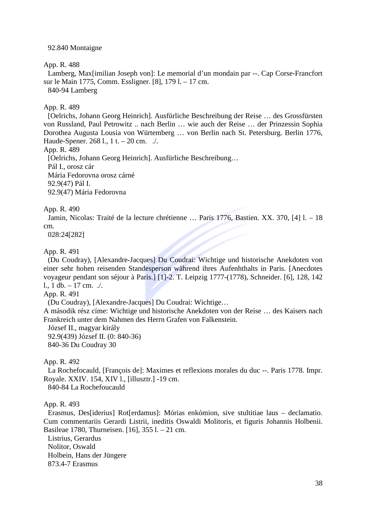### 92.840 Montaigne

App. R. 488

Lamberg, Max[imilian Joseph von]: Le memorial d'un mondain par --. Cap Corse-Francfort sur le Main 1775, Comm. Essligner. [8], 179 l. – 17 cm.

840-94 Lamberg

App. R. 489

[Oelrichs, Johann Georg Heinrich]. Ausfürliche Beschreibung der Reise … des Grossfürsten von Russland, Paul Petrowitz .. nach Berlin … wie auch der Reise … der Prinzessin Sophia Dorothea Augusta Lousia von Würtemberg … von Berlin nach St. Petersburg. Berlin 1776, Haude-Spener. 268 l., 1 t. – 20 cm. ./.

App. R. 489

[Oelrichs, Johann Georg Heinrich]. Ausfürliche Beschreibung…

Pál I., orosz cár

Mária Fedorovna orosz cárné

92.9(47) Pál I.

92.9(47) Mária Fedorovna

App. R. 490

Jamin, Nicolas: Traité de la lecture chrétienne … Paris 1776, Bastien. XX. 370, [4] l. – 18 cm.

028:24[282]

App. R. 491

(Du Coudray), [Alexandre-Jacques] Du Coudrai: Wichtige und historische Anekdoten von einer sehr hohen reisenden Standesperson während ihres Aufenhthalts in Paris. [Anecdotes voyageur pendant son séjour à Paris.] [1]-2. T. Leipzig 1777-(1778), Schneider. [6], 128, 142 l., 1 db. – 17 cm.  $\sqrt{ }$ .

App. R. 491

(Du Coudray), [Alexandre-Jacques] Du Coudrai: Wichtige…

A második rész címe: Wichtige und historische Anekdoten von der Reise … des Kaisers nach Frankreich unter dem Nahmen des Herrn Grafen von Falkenstein.

József II., magyar király

92.9(439) József II. (0: 840-36)

840-36 Du Coudray 30

App. R. 492

La Rochefocauld, [François de]: Maximes et reflexions morales du duc --. Paris 1778. Impr. Royale. XXIV. 154, XIV l., [illusztr.] -19 cm.

840-84 La Rochefoucauld

App. R. 493

Erasmus, Des[iderius] Rot[erdamus]: Mórias enkómion, sive stultitiae laus – declamatio. Cum commentariis Gerardi Listrii, ineditis Oswaldi Molitoris, et figuris Johannis Holbenii. Basileae 1780, Thurneisen. [16], 355 l. – 21 cm.

Listrius, Gerardus Nolitor, Oswald Holbein, Hans der Jüngere 873.4-7 Erasmus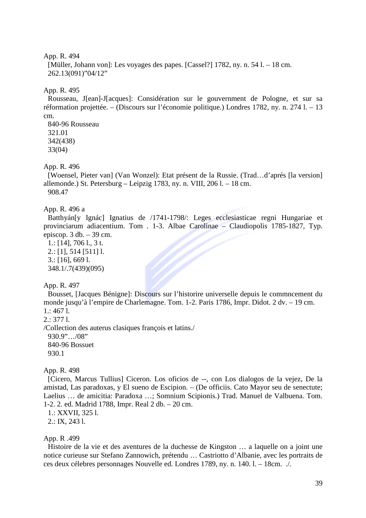```
[Müller, Johann von]: Les voyages des papes. [Cassel?] 1782, ny. n. 54 l. – 18 cm. 
262.13(091)"04/12"
```
### App. R. 495

Rousseau, J[ean]-J[acques]: Considération sur le gouvernment de Pologne, et sur sa réformation projettée. – (Discours sur l'économie politique.) Londres 1782, ny. n. 274 l. – 13 cm.

840-96 Rousseau 321.01 342(438) 33(04)

### App. R. 496

[Woensel, Pieter van] (Van Wonzel): Etat présent de la Russie. (Trad…d'aprés [la version] allemonde.) St. Petersburg – Leipzig 1783, ny. n. VIII, 206 l. – 18 cm. 908.47

## App. R. 496 a

Batthyán[y Ignác] Ignatius de /1741-1798/: Leges ecclesiasticae regni Hungariae et provinciarum adiacentium. Tom . 1-3. Albae Carolinae – Claudiopolis 1785-1827, Typ. episcop. 3 db. – 39 cm.

1.: [14], 706 l., 3 t. 2.: [1], 514 [511] l. 3.: [16], 669 l. 348.1/.7(439)(095)

### App. R. 497

Bousset, [Jacques Bénigne]: Discours sur l'historire universelle depuis le commncement du monde jusqu'à l'empire de Charlemagne. Tom. 1-2. Paris 1786, Impr. Didot. 2 dv. – 19 cm.  $1:4671$ .

2.: 377 l.

/Collection des auterus clasiques françois et latins./ 930.9"…/08" 840-96 Bossuet 930.1

#### App. R. 498

[Cicero, Marcus Tullius] Ciceron. Los oficios de --, con Los dialogos de la vejez, De la amistad, Las paradoxas, y El sueno de Escipion. – (De officiis. Cato Mayor seu de senectute; Laelius … de amicitia: Paradoxa …; Somnium Scipionis.) Trad. Manuel de Valbuena. Tom. 1-2. 2. ed. Madrid 1788, Impr. Real 2 db. – 20 cm.

1.: XXVII, 325 l.

2.: IX, 243 l.

#### App. R .499

Histoire de la vie et des aventures de la duchesse de Kingston … a laquelle on a joint une notice curieuse sur Stefano Zannowich, prétendu … Castriotto d'Albanie, avec les portraits de ces deux célebres personnages Nouvelle ed. Londres 1789, ny. n. 140. l. – 18cm. ./.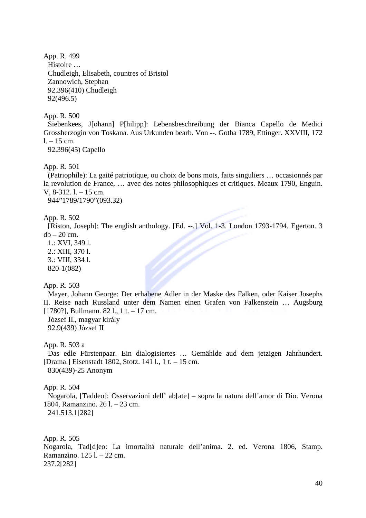App. R. 499 Histoire … Chudleigh, Elisabeth, countres of Bristol Zannowich, Stephan 92.396(410) Chudleigh 92(496.5)

App. R. 500

Siebenkees, J[ohann] P[hilipp]: Lebensbeschreibung der Bianca Capello de Medici Grossherzogin von Toskana. Aus Urkunden bearb. Von --. Gotha 1789, Ettinger. XXVIII, 172  $1. - 15$  cm.

92.396(45) Capello

App. R. 501

(Patriophile): La gaité patriotique, ou choix de bons mots, faits singuliers … occasionnés par la revolution de France, … avec des notes philosophiques et critiques. Meaux 1790, Enguin. V, 8-312. l. – 15 cm.

944"1789/1790"(093.32)

App. R. 502

[Riston, Joseph]: The english anthology. [Ed. --.] Vol. 1-3. London 1793-1794, Egerton. 3  $db - 20$  cm.

1.: XVI, 349 l. 2.: XIII, 370 l. 3.: VIII, 334 l. 820-1(082)

App. R. 503

Mayer, Johann George: Der erhabene Adler in der Maske des Falken, oder Kaiser Josephs II. Reise nach Russland unter dem Namen einen Grafen von Falkenstein … Augsburg [1780?], Bullmann. 82 l., 1 t. – 17 cm. József II., magyar király

92.9(439) József II

App. R. 503 a

Das edle Fürstenpaar. Ein dialogisiertes … Gemählde aud dem jetzigen Jahrhundert. [Drama.] Eisenstadt 1802, Stotz. 141 l., 1 t. – 15 cm. 830(439)-25 Anonym

App. R. 504

Nogarola, [Taddeo]: Osservazioni dell' ab[ate] – sopra la natura dell'amor di Dio. Verona 1804, Ramanzino. 26 l. – 23 cm.

241.513.1[282]

App. R. 505

Nogarola, Tad[d]eo: La imortalità naturale dell'anima. 2. ed. Verona 1806, Stamp. Ramanzino. 125 l. – 22 cm. 237.2[282]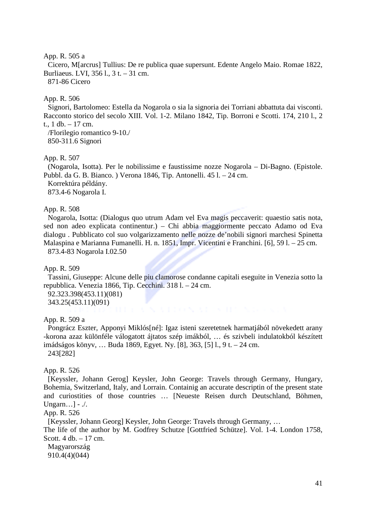### App. R. 505 a

Cicero, M[arcrus] Tullius: De re publica quae supersunt. Edente Angelo Maio. Romae 1822, Burliaeus. LVI, 356 l., 3 t. – 31 cm. 871-86 Cicero

# App. R. 506

Signori, Bartolomeo: Estella da Nogarola o sia la signoria dei Torriani abbattuta dai visconti. Racconto storico del secolo XIII. Vol. 1-2. Milano 1842, Tip. Borroni e Scotti. 174, 210 l., 2 t., 1 db. – 17 cm.

/Florilegio romantico 9-10./ 850-311.6 Signori

## App. R. 507

(Nogarola, Isotta). Per le nobilissime e faustissime nozze Nogarola – Di-Bagno. (Epistole. Pubbl. da G. B. Bianco. ) Verona 1846, Tip. Antonelli. 45 l. – 24 cm. Korrektúra példány.

873.4-6 Nogarola I.

### App. R. 508

Nogarola, Isotta: (Dialogus quo utrum Adam vel Eva magis peccaverit: quaestio satis nota, sed non adeo explicata continentur.) – Chi abbia maggiormente peccato Adamo od Eva dialogu . Pubblicato col suo volgarizzamento nelle nozze de'nobili signori marchesi Spinetta Malaspina e Marianna Fumanelli. H. n. 1851, Impr. Vicentini e Franchini. [6], 59 l. – 25 cm. 873.4-83 Nogarola I.02.50

App. R. 509

Tassini, Giuseppe: Alcune delle piu clamorose condanne capitali eseguite in Venezia sotto la repubblica. Venezia 1866, Tip. Cecchini. 318 l. – 24 cm.

92.323.398(453.11)(081) 343.25(453.11)(091)

App. R. 509 a

Pongrácz Eszter, Apponyi Miklós[né]: Igaz isteni szeretetnek harmatjából növekedett arany -korona azaz különféle válogatott ájtatos szép imákból, … és szivbeli indulatokból készített imádságos könyv, … Buda 1869, Egyet. Ny. [8], 363, [5] l., 9 t. – 24 cm. 243[282]

## App. R. 526

[Keyssler, Johann Gerog] Keysler, John George: Travels through Germany, Hungary, Bohemia, Switzerland, Italy, and Lorrain. Containig an accurate descriptin of the present state and curiostities of those countries … [Neueste Reisen durch Deutschland, Böhmen, Ungarn…] - ./.

#### App. R. 526

[Keyssler, Johann Georg] Keysler, John George: Travels through Germany, … The life of the author by M. Godfrey Schutze [Gottfried Schütze]. Vol. 1-4. London 1758,

Scott. 4 db. – 17 cm.

Magyarország 910.4(4)(044)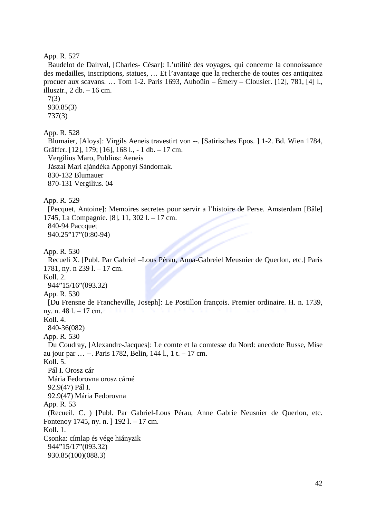Baudelot de Dairval, [Charles- César]: L'utilité des voyages, qui concerne la connoissance des medailles, inscriptions, statues, … Et l'avantage que la recherche de toutes ces antiquitez procuer aux scavans. … Tom 1-2. Paris 1693, Auboüin – Émery – Clousier. [12], 781, [4] l., illusztr.,  $2 \text{ db}$ . – 16 cm.

7(3) 930.85(3) 737(3)

App. R. 528

Blumaier, [Aloys]: Virgils Aeneis travestirt von --. [Satirisches Epos. ] 1-2. Bd. Wien 1784, Gräffer. [12], 179; [16], 168 l., - 1 db. – 17 cm.

Vergilius Maro, Publius: Aeneis

Jászai Mari ajándéka Apponyi Sándornak.

830-132 Blumauer

870-131 Vergilius. 04

App. R. 529

[Pecquet, Antoine]: Memoires secretes pour servir a l'histoire de Perse. Amsterdam [Bâle] 1745, La Compagnie. [8], 11, 302 l. – 17 cm.

840-94 Paccquet 940.25"17"(0:80-94)

App. R. 530

Recueli X. [Publ. Par Gabriel –Lous Pérau, Anna-Gabreiel Meusnier de Querlon, etc.] Paris 1781, ny. n 239 l. – 17 cm.

Koll. 2.

944"15/16"(093.32)

App. R. 530

[Du Frensne de Francheville, Joseph]: Le Postillon françois. Premier ordinaire. H. n. 1739, ny. n. 48 l. – 17 cm.

Koll. 4.

840-36(082)

App. R. 530

Du Coudray, [Alexandre-Jacques]: Le comte et la comtesse du Nord: anecdote Russe, Mise au jour par … --. Paris 1782, Belin, 144 l., 1 t. – 17 cm.

Koll. 5.

Pál I. Orosz cár Mária Fedorovna orosz cárné 92.9(47) Pál I. 92.9(47) Mária Fedorovna

App. R. 53

(Recueil. C. ) [Publ. Par Gabriel-Lous Pérau, Anne Gabrie Neusnier de Querlon, etc. Fontenoy 1745, ny. n. ] 192 l. – 17 cm.

Koll. 1.

Csonka: címlap és vége hiányzik 944"15/17"(093.32) 930.85(100)(088.3)